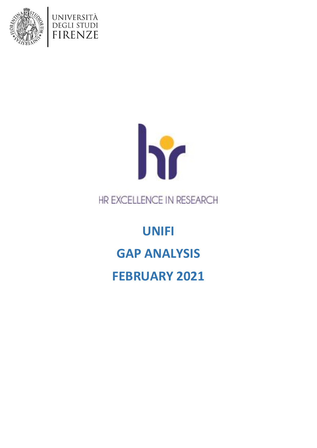





# HR EXCELLENCE IN RESEARCH

**UNIFI GAP ANALYSIS FEBRUARY 2021**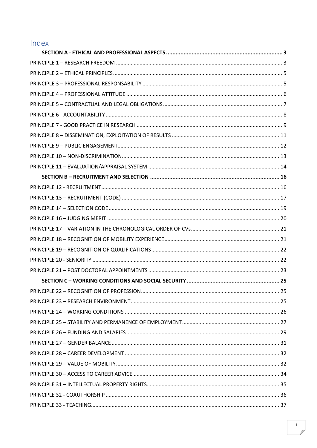# Index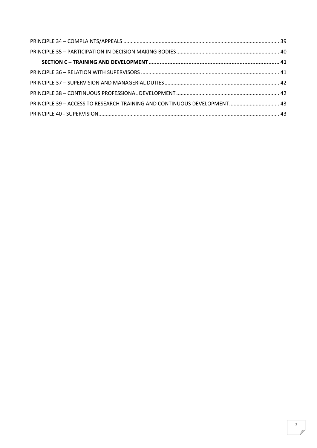| PRINCIPLE 39 - ACCESS TO RESEARCH TRAINING AND CONTINUOUS DEVELOPMENT 43 |
|--------------------------------------------------------------------------|
|                                                                          |
|                                                                          |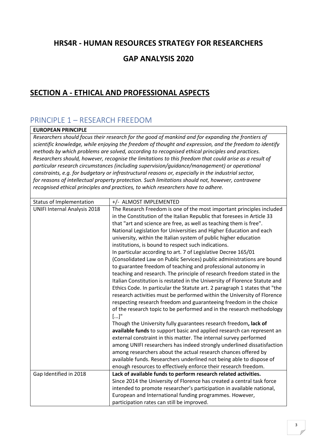### **HRS4R - HUMAN RESOURCES STRATEGY FOR RESEARCHERS**

### **GAP ANALYSIS 2020**

### <span id="page-3-0"></span>**SECTION A - ETHICAL AND PROFESSIONAL ASPECTS**

### <span id="page-3-1"></span>PRINCIPLE 1 – RESEARCH FREEDOM

**EUROPEAN PRINCIPLE**

*Researchers should focus their research for the good of mankind and for expanding the frontiers of scientific knowledge, while enjoying the freedom of thought and expression, and the freedom to identify methods by which problems are solved, according to recognised ethical principles and practices. Researchers should, however, recognise the limitations to this freedom that could arise as a result of particular research circumstances (including supervision/guidance/management) or operational constraints, e.g. for budgetary or infrastructural reasons or, especially in the industrial sector, for reasons of intellectual property protection. Such limitations should not, however, contravene recognised ethical principles and practices, to which researchers have to adhere.*

| <b>Status of Implementation</b>     | +/- ALMOST IMPLEMENTED                                                     |
|-------------------------------------|----------------------------------------------------------------------------|
| <b>UNIFI Internal Analysis 2018</b> | The Research Freedom is one of the most important principles included      |
|                                     | in the Constitution of the Italian Republic that foresees in Article 33    |
|                                     | that "art and science are free, as well as teaching them is free".         |
|                                     | National Legislation for Universities and Higher Education and each        |
|                                     | university, within the Italian system of public higher education           |
|                                     | institutions, is bound to respect such indications.                        |
|                                     | In particular according to art. 7 of Legislative Decree 165/01             |
|                                     | (Consolidated Law on Public Services) public administrations are bound     |
|                                     | to guarantee freedom of teaching and professional autonomy in              |
|                                     | teaching and research. The principle of research freedom stated in the     |
|                                     | Italian Constitution is restated in the University of Florence Statute and |
|                                     | Ethics Code. In particular the Statute art. 2 paragraph 1 states that "the |
|                                     | research activities must be performed within the University of Florence    |
|                                     | respecting research freedom and guaranteeing freedom in the choice         |
|                                     | of the research topic to be performed and in the research methodology      |
|                                     | $[]$ "                                                                     |
|                                     | Though the University fully guarantees research freedom, lack of           |
|                                     | available funds to support basic and applied research can represent an     |
|                                     | external constraint in this matter. The internal survey performed          |
|                                     | among UNIFI researchers has indeed strongly underlined dissatisfaction     |
|                                     | among researchers about the actual research chances offered by             |
|                                     | available funds. Researchers underlined not being able to dispose of       |
|                                     | enough resources to effectively enforce their research freedom.            |
| Gap Identified in 2018              | Lack of available funds to perform research related activities.            |
|                                     | Since 2014 the University of Florence has created a central task force     |
|                                     | intended to promote researcher's participation in available national,      |
|                                     | European and International funding programmes. However,                    |
|                                     | participation rates can still be improved.                                 |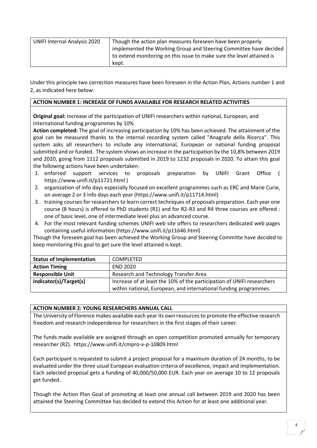| <b>UNIFI Internal Analysis 2020</b> | Though the action plan measures foreseen have been properly           |
|-------------------------------------|-----------------------------------------------------------------------|
|                                     | implemented the Working Group and Steering Committee have decided     |
|                                     | to extend monitoring on this issue to make sure the level attained is |
|                                     | kept.                                                                 |

Under this principle two correction measures have been foreseen in the Action Plan, Actions number 1 and 2, as indicated here below:

#### **ACTION NUMBER 1: INCREASE OF FUNDS AVAILABLE FOR RESEARCH RELATED ACTIVITIES**

**Original goal:** Increase of the participation of UNIFI researchers within national, European, and international funding programmes by 10%

**Action completed:** The goal of increasing participation by 10% has been achieved. The attainment of the goal can be measured thanks to the internal recording system called "Anagrafe della Ricerca". This system asks all researchers to include any international, European or national funding proposal submitted and or funded. The system shows an increase in the participation by the 10,8% between 2019 and 2020, going from 1112 proposals submitted in 2019 to 1232 proposals in 2020. To attain this goal the following actions have been undertaken:

- 1. enforced support services to proposals preparation by UNIFI Grant Office ( https://www.unifi.it/p11721.html )
- 2. organization of info days especially focused on excellent programmes such as ERC and Marie Curie, on average 2 or 3 info days each year (https://www.unifi.it/p11714.html)
- 3. training courses for researchers to learn correct techniques of proposals preparation. Each year one course (8 hours) is offered to PhD students (R1) and for R2-R3 and R4 three courses are offered : one of basic level, one of intermediate level plus an advanced course.
- 4. For the most relevant funding schemes UNIFI web site offers to researchers dedicated web pages containing useful information (https://www.unifi.it/p11646.html)

Though the foreseen goal has been achieved the Working Group and Steering Committe have decided to keep monitoring this goal to get sure the level attained is kept.

| <b>Status of Implementation</b> | <b>COMPLETED</b>                                                       |
|---------------------------------|------------------------------------------------------------------------|
| <b>Action Timing</b>            | <b>END 2020</b>                                                        |
| <b>Responsible Unit</b>         | Research and Technology Transfer Area                                  |
| Indicator(s)/Target(s)          | Increase of at least the 10% of the participation of UNIFI researchers |
|                                 | within national, European, and international funding programmes.       |

#### **ACTION NUMBER 2: YOUNG RESEARCHERS ANNUAL CALL**

The University of Florence makes available each year its own resources to promote the effective research freedom and research independence for researchers in the first stages of their career.

The funds made available are assigned through an open competition promoted annually for temporary researcher (R2). https://www.unifi.it/cmpro-v-p-10809.html

Each participant is requested to submit a project proposal for a maximum duration of 24 months, to be evaluated under the three usual European evaluation criteria of excellence, impact and implementation. Each selected proposal gets a funding of 40,000/50,000 EUR. Each year on average 10 to 12 proposals get funded.

Though the Action Plan Goal of promoting at least one annual call between 2019 and 2020 has been attained the Steering Committee has decided to extend this Action for at least one additional year.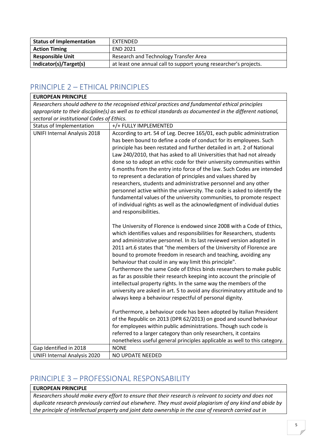| <b>Status of Implementation</b> | EXTENDED                                                         |
|---------------------------------|------------------------------------------------------------------|
| <b>Action Timing</b>            | <b>END 2021</b>                                                  |
| <b>Responsible Unit</b>         | Research and Technology Transfer Area                            |
| Indicator(s)/Target(s)          | at least one annual call to support young researcher's projects. |

### <span id="page-5-0"></span>PRINCIPLE 2 – ETHICAL PRINCIPLES

| <b>EUROPEAN PRINCIPLE</b>                                                                        |                                                                                                                                                                                                                                                                                                                                                                                                                                                                                                                                                                                                                                                                                                                                                                                                                                                   |
|--------------------------------------------------------------------------------------------------|---------------------------------------------------------------------------------------------------------------------------------------------------------------------------------------------------------------------------------------------------------------------------------------------------------------------------------------------------------------------------------------------------------------------------------------------------------------------------------------------------------------------------------------------------------------------------------------------------------------------------------------------------------------------------------------------------------------------------------------------------------------------------------------------------------------------------------------------------|
| Researchers should adhere to the recognised ethical practices and fundamental ethical principles |                                                                                                                                                                                                                                                                                                                                                                                                                                                                                                                                                                                                                                                                                                                                                                                                                                                   |
|                                                                                                  | appropriate to their discipline(s) as well as to ethical standards as documented in the different national,                                                                                                                                                                                                                                                                                                                                                                                                                                                                                                                                                                                                                                                                                                                                       |
| sectoral or institutional Codes of Ethics.                                                       |                                                                                                                                                                                                                                                                                                                                                                                                                                                                                                                                                                                                                                                                                                                                                                                                                                                   |
| Status of Implementation                                                                         | +/+ FULLY IMPLEMENTED                                                                                                                                                                                                                                                                                                                                                                                                                                                                                                                                                                                                                                                                                                                                                                                                                             |
| <b>UNIFI Internal Analysis 2018</b>                                                              | According to art. 54 of Leg. Decree 165/01, each public administration<br>has been bound to define a code of conduct for its employees. Such<br>principle has been restated and further detailed in art. 2 of National<br>Law 240/2010, that has asked to all Universities that had not already<br>done so to adopt an ethic code for their university communities within<br>6 months from the entry into force of the law. Such Codes are intended<br>to represent a declaration of principles and values shared by<br>researchers, students and administrative personnel and any other<br>personnel active within the university. The code is asked to identify the<br>fundamental values of the university communities, to promote respect<br>of individual rights as well as the acknowledgment of individual duties<br>and responsibilities. |
|                                                                                                  | The University of Florence is endowed since 2008 with a Code of Ethics,<br>which identifies values and responsibilities for Researchers, students<br>and administrative personnel. In its last reviewed version adopted in<br>2011 art.6 states that "the members of the University of Florence are<br>bound to promote freedom in research and teaching, avoiding any<br>behaviour that could in any way limit this principle".<br>Furthermore the same Code of Ethics binds researchers to make public<br>as far as possible their research keeping into account the principle of<br>intellectual property rights. In the same way the members of the<br>university are asked in art. 5 to avoid any discriminatory attitude and to<br>always keep a behaviour respectful of personal dignity.                                                  |
|                                                                                                  | Furthermore, a behaviour code has been adopted by Italian President<br>of the Republic on 2013 (DPR 62/2013) on good and sound behaviour<br>for employees within public administrations. Though such code is<br>referred to a larger category than only researchers, it contains                                                                                                                                                                                                                                                                                                                                                                                                                                                                                                                                                                  |
|                                                                                                  | nonetheless useful general principles applicable as well to this category.                                                                                                                                                                                                                                                                                                                                                                                                                                                                                                                                                                                                                                                                                                                                                                        |
| Gap Identified in 2018                                                                           | <b>NONE</b>                                                                                                                                                                                                                                                                                                                                                                                                                                                                                                                                                                                                                                                                                                                                                                                                                                       |
| <b>UNIFI Internal Analysis 2020</b>                                                              | NO UPDATE NEEDED                                                                                                                                                                                                                                                                                                                                                                                                                                                                                                                                                                                                                                                                                                                                                                                                                                  |

### <span id="page-5-1"></span>PRINCIPLE 3 – PROFESSIONAL RESPONSABILITY

### **EUROPEAN PRINCIPLE**

*Researchers should make every effort to ensure that their research is relevant to society and does not duplicate research previously carried out elsewhere. They must avoid plagiarism of any kind and abide by the principle of intellectual property and joint data ownership in the case of research carried out in*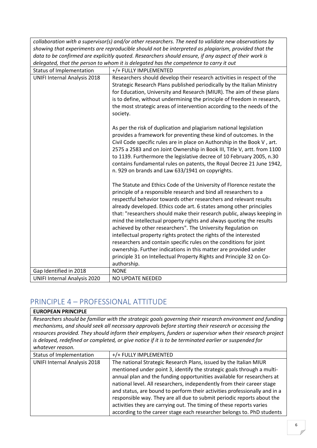|                                                                                                       | collaboration with a supervisor(s) and/or other researchers. The need to validate new observations by                                                                                                                                                                                                                                                                                                                                                                                                                                                                                                                                                                                                                                                                                                            |  |
|-------------------------------------------------------------------------------------------------------|------------------------------------------------------------------------------------------------------------------------------------------------------------------------------------------------------------------------------------------------------------------------------------------------------------------------------------------------------------------------------------------------------------------------------------------------------------------------------------------------------------------------------------------------------------------------------------------------------------------------------------------------------------------------------------------------------------------------------------------------------------------------------------------------------------------|--|
| showing that experiments are reproducible should not be interpreted as plagiarism, provided that the  |                                                                                                                                                                                                                                                                                                                                                                                                                                                                                                                                                                                                                                                                                                                                                                                                                  |  |
| data to be confirmed are explicitly quoted. Researchers should ensure, if any aspect of their work is |                                                                                                                                                                                                                                                                                                                                                                                                                                                                                                                                                                                                                                                                                                                                                                                                                  |  |
| delegated, that the person to whom it is delegated has the competence to carry it out                 |                                                                                                                                                                                                                                                                                                                                                                                                                                                                                                                                                                                                                                                                                                                                                                                                                  |  |
| Status of Implementation                                                                              | +/+ FULLY IMPLEMENTED                                                                                                                                                                                                                                                                                                                                                                                                                                                                                                                                                                                                                                                                                                                                                                                            |  |
| <b>UNIFI Internal Analysis 2018</b>                                                                   | Researchers should develop their research activities in respect of the<br>Strategic Research Plans published periodically by the Italian Ministry<br>for Education, University and Research (MIUR). The aim of these plans<br>is to define, without undermining the principle of freedom in research,<br>the most strategic areas of intervention according to the needs of the<br>society.                                                                                                                                                                                                                                                                                                                                                                                                                      |  |
|                                                                                                       | As per the risk of duplication and plagiarism national legislation<br>provides a framework for preventing these kind of outcomes. In the<br>Civil Code specific rules are in place on Authorship in the Book V, art.<br>2575 a 2583 and on Joint Ownership in Book III, Title V, artt. from 1100<br>to 1139. Furthermore the legislative decree of 10 February 2005, n.30<br>contains fundamental rules on patents, the Royal Decree 21 June 1942,<br>n. 929 on brands and Law 633/1941 on copyrights.                                                                                                                                                                                                                                                                                                           |  |
|                                                                                                       | The Statute and Ethics Code of the University of Florence restate the<br>principle of a responsible research and bind all researchers to a<br>respectful behavior towards other researchers and relevant results<br>already developed. Ethics code art. 6 states among other principles<br>that: "researchers should make their research public, always keeping in<br>mind the intellectual property rights and always quoting the results<br>achieved by other researchers". The University Regulation on<br>intellectual property rights protect the rights of the interested<br>researchers and contain specific rules on the conditions for joint<br>ownership. Further indications in this matter are provided under<br>principle 31 on Intellectual Property Rights and Principle 32 on Co-<br>authorship. |  |
| Gap Identified in 2018                                                                                | <b>NONE</b>                                                                                                                                                                                                                                                                                                                                                                                                                                                                                                                                                                                                                                                                                                                                                                                                      |  |
| <b>UNIFI Internal Analysis 2020</b>                                                                   | <b>NO UPDATE NEEDED</b>                                                                                                                                                                                                                                                                                                                                                                                                                                                                                                                                                                                                                                                                                                                                                                                          |  |

# <span id="page-6-0"></span>PRINCIPLE 4 – PROFESSIONAL ATTITUDE

| <b>EUROPEAN PRINCIPLE</b>           |                                                                                                                                                                                                                                                                                                                                                                                                                                                                                                                                                                                                          |
|-------------------------------------|----------------------------------------------------------------------------------------------------------------------------------------------------------------------------------------------------------------------------------------------------------------------------------------------------------------------------------------------------------------------------------------------------------------------------------------------------------------------------------------------------------------------------------------------------------------------------------------------------------|
| whatever reason.                    | Researchers should be familiar with the strategic goals governing their research environment and funding<br>mechanisms, and should seek all necessary approvals before starting their research or accessing the<br>resources provided. They should inform their employers, funders or supervisor when their research project<br>is delayed, redefined or completed, or give notice if it is to be terminated earlier or suspended for                                                                                                                                                                    |
| Status of Implementation            | +/+ FULLY IMPLEMENTED                                                                                                                                                                                                                                                                                                                                                                                                                                                                                                                                                                                    |
| <b>UNIFI Internal Analysis 2018</b> | The national Strategic Research Plans, issued by the Italian MIUR<br>mentioned under point 3, identify the strategic goals through a multi-<br>annual plan and the funding opportunities available for researchers at<br>national level. All researchers, independently from their career stage<br>and status, are bound to perform their activities professionally and in a<br>responsible way. They are all due to submit periodic reports about the<br>activities they are carrying out. The timing of these reports varies<br>according to the career stage each researcher belongs to. PhD students |

⅂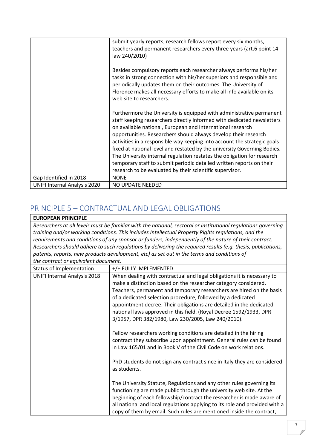|                                     | submit yearly reports, research fellows report every six months,<br>teachers and permanent researchers every three years (art.6 point 14<br>law 240/2010)                                                                                                                                                                                                                                                                                                                                                                                                                                                                                              |
|-------------------------------------|--------------------------------------------------------------------------------------------------------------------------------------------------------------------------------------------------------------------------------------------------------------------------------------------------------------------------------------------------------------------------------------------------------------------------------------------------------------------------------------------------------------------------------------------------------------------------------------------------------------------------------------------------------|
|                                     | Besides compulsory reports each researcher always performs his/her<br>tasks in strong connection with his/her superiors and responsible and<br>periodically updates them on their outcomes. The University of<br>Florence makes all necessary efforts to make all info available on its<br>web site to researchers.                                                                                                                                                                                                                                                                                                                                    |
|                                     | Furthermore the University is equipped with administrative permanent<br>staff keeping researchers directly informed with dedicated newsletters<br>on available national, European and International research<br>opportunities. Researchers should always develop their research<br>activities in a responsible way keeping into account the strategic goals<br>fixed at national level and restated by the university Governing Bodies.<br>The University internal regulation restates the obligation for research<br>temporary staff to submit periodic detailed written reports on their<br>research to be evaluated by their scientific supervisor. |
| Gap Identified in 2018              | <b>NONE</b>                                                                                                                                                                                                                                                                                                                                                                                                                                                                                                                                                                                                                                            |
| <b>UNIFI Internal Analysis 2020</b> | NO UPDATE NEEDED                                                                                                                                                                                                                                                                                                                                                                                                                                                                                                                                                                                                                                       |

### <span id="page-7-0"></span>PRINCIPLE 5 – CONTRACTUAL AND LEGAL OBLIGATIONS

#### **EUROPEAN PRINCIPLE**

*Researchers at all levels must be familiar with the national, sectoral or institutional regulations governing training and/or working conditions. This includes Intellectual Property Rights regulations, and the requirements and conditions of any sponsor or funders, independently of the nature of their contract. Researchers should adhere to such regulations by delivering the required results (e.g. thesis, publications, patents, reports, new products development, etc) as set out in the terms and conditions of the contract or equivalent document.*

| <b>Status of Implementation</b>     | +/+ FULLY IMPLEMENTED                                                                                                                                                                                                                                                                                                                                                                                                                                                               |
|-------------------------------------|-------------------------------------------------------------------------------------------------------------------------------------------------------------------------------------------------------------------------------------------------------------------------------------------------------------------------------------------------------------------------------------------------------------------------------------------------------------------------------------|
| <b>UNIFI Internal Analysis 2018</b> | When dealing with contractual and legal obligations it is necessary to<br>make a distinction based on the researcher category considered.<br>Teachers, permanent and temporary researchers are hired on the basis<br>of a dedicated selection procedure, followed by a dedicated<br>appointment decree. Their obligations are detailed in the dedicated<br>national laws approved in this field. (Royal Decree 1592/1933, DPR<br>3/1957, DPR 382/1980, Law 230/2005, Law 240/2010). |
|                                     | Fellow researchers working conditions are detailed in the hiring<br>contract they subscribe upon appointment. General rules can be found<br>in Law 165/01 and in Book V of the Civil Code on work relations.                                                                                                                                                                                                                                                                        |
|                                     | PhD students do not sign any contract since in Italy they are considered<br>as students.                                                                                                                                                                                                                                                                                                                                                                                            |
|                                     | The University Statute, Regulations and any other rules governing its<br>functioning are made public through the university web site. At the<br>beginning of each fellowship/contract the researcher is made aware of<br>all national and local regulations applying to its role and provided with a<br>copy of them by email. Such rules are mentioned inside the contract,                                                                                                        |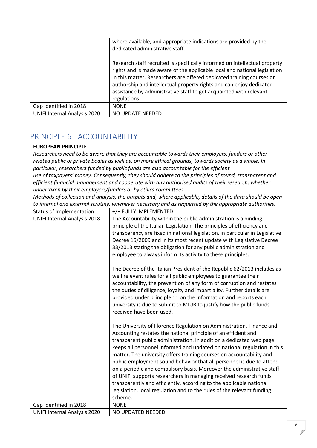|                                     | where available, and appropriate indications are provided by the<br>dedicated administrative staff.                                                                                                                                                                                                                                                                                           |
|-------------------------------------|-----------------------------------------------------------------------------------------------------------------------------------------------------------------------------------------------------------------------------------------------------------------------------------------------------------------------------------------------------------------------------------------------|
|                                     | Research staff recruited is specifically informed on intellectual property<br>rights and is made aware of the applicable local and national legislation<br>in this matter. Researchers are offered dedicated training courses on<br>authorship and intellectual property rights and can enjoy dedicated<br>assistance by administrative staff to get acquainted with relevant<br>regulations. |
| Gap Identified in 2018              | <b>NONE</b>                                                                                                                                                                                                                                                                                                                                                                                   |
| <b>UNIFI Internal Analysis 2020</b> | NO UPDATE NEEDED                                                                                                                                                                                                                                                                                                                                                                              |

## <span id="page-8-0"></span>PRINCIPLE 6 - ACCOUNTABILITY

#### **EUROPEAN PRINCIPLE**

*Researchers need to be aware that they are accountable towards their employers, funders or other related public or private bodies as well as, on more ethical grounds, towards society as a whole. In particular, researchers funded by public funds are also accountable for the efficient use of taxpayers' money. Consequently, they should adhere to the principles of sound, transparent and efficient financial management and cooperate with any authorised audits of their research, whether undertaken by their employers/funders or by ethics committees.*

*Methods of collection and analysis, the outputs and, where applicable, details of the data should be open to internal and external scrutiny, whenever necessary and as requested by the appropriate authorities.*

| Status of Implementation            | +/+ FULLY IMPLEMENTED                                                                                                                                                                                                                                                                                                                                                                                                                                                                                                                                                                                                                                                                                                                              |
|-------------------------------------|----------------------------------------------------------------------------------------------------------------------------------------------------------------------------------------------------------------------------------------------------------------------------------------------------------------------------------------------------------------------------------------------------------------------------------------------------------------------------------------------------------------------------------------------------------------------------------------------------------------------------------------------------------------------------------------------------------------------------------------------------|
| <b>UNIFI Internal Analysis 2018</b> | The Accountability within the public administration is a binding                                                                                                                                                                                                                                                                                                                                                                                                                                                                                                                                                                                                                                                                                   |
|                                     | principle of the Italian Legislation. The principles of efficiency and                                                                                                                                                                                                                                                                                                                                                                                                                                                                                                                                                                                                                                                                             |
|                                     | transparency are fixed in national legislation, in particular in Legislative                                                                                                                                                                                                                                                                                                                                                                                                                                                                                                                                                                                                                                                                       |
|                                     | Decree 15/2009 and in its most recent update with Legislative Decree                                                                                                                                                                                                                                                                                                                                                                                                                                                                                                                                                                                                                                                                               |
|                                     | 33/2013 stating the obligation for any public administration and                                                                                                                                                                                                                                                                                                                                                                                                                                                                                                                                                                                                                                                                                   |
|                                     | employee to always inform its activity to these principles.                                                                                                                                                                                                                                                                                                                                                                                                                                                                                                                                                                                                                                                                                        |
|                                     | The Decree of the Italian President of the Republic 62/2013 includes as<br>well relevant rules for all public employees to guarantee their<br>accountability, the prevention of any form of corruption and restates<br>the duties of diligence, loyalty and impartiality. Further details are<br>provided under principle 11 on the information and reports each<br>university is due to submit to MIUR to justify how the public funds<br>received have been used.                                                                                                                                                                                                                                                                                |
|                                     | The University of Florence Regulation on Administration, Finance and<br>Accounting restates the national principle of an efficient and<br>transparent public administration. In addition a dedicated web page<br>keeps all personnel informed and updated on national regulation in this<br>matter. The university offers training courses on accountability and<br>public employment sound behavior that all personnel is due to attend<br>on a periodic and compulsory basis. Moreover the administrative staff<br>of UNIFI supports researchers in managing received research funds<br>transparently and efficiently, according to the applicable national<br>legislation, local regulation and to the rules of the relevant funding<br>scheme. |
| Gap Identified in 2018              | <b>NONE</b>                                                                                                                                                                                                                                                                                                                                                                                                                                                                                                                                                                                                                                                                                                                                        |
| <b>UNIFI Internal Analysis 2020</b> | NO UPDATED NEEDED                                                                                                                                                                                                                                                                                                                                                                                                                                                                                                                                                                                                                                                                                                                                  |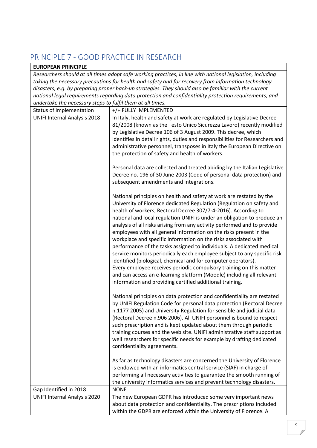# <span id="page-9-0"></span>PRINCIPLE 7 - GOOD PRACTICE IN RESEARCH

#### **EUROPEAN PRINCIPLE**

*Researchers should at all times adopt safe working practices, in line with national legislation, including taking the necessary precautions for health and safety and for recovery from information technology disasters, e.g. by preparing proper back-up strategies. They should also be familiar with the current national legal requirements regarding data protection and confidentiality protection requirements, and undertake the necessary steps to fulfil them at all times.*

| ander cane the necessary steps to jurili them at all thries. |                                                                                                                                                                                                                                                                                                                                                                                                                                                                                                                                                                                                                                                                                                                                                                                                                                                                                                                                                    |
|--------------------------------------------------------------|----------------------------------------------------------------------------------------------------------------------------------------------------------------------------------------------------------------------------------------------------------------------------------------------------------------------------------------------------------------------------------------------------------------------------------------------------------------------------------------------------------------------------------------------------------------------------------------------------------------------------------------------------------------------------------------------------------------------------------------------------------------------------------------------------------------------------------------------------------------------------------------------------------------------------------------------------|
| Status of Implementation                                     | +/+ FULLY IMPLEMENTED                                                                                                                                                                                                                                                                                                                                                                                                                                                                                                                                                                                                                                                                                                                                                                                                                                                                                                                              |
| <b>UNIFI Internal Analysis 2018</b>                          | In Italy, health and safety at work are regulated by Legislative Decree<br>81/2008 (known as the Testo Unico Sicurezza Lavoro) recently modified<br>by Legislative Decree 106 of 3 August 2009. This decree, which<br>identifies in detail rights, duties and responsibilities for Researchers and<br>administrative personnel, transposes in Italy the European Directive on<br>the protection of safety and health of workers.                                                                                                                                                                                                                                                                                                                                                                                                                                                                                                                   |
|                                                              | Personal data are collected and treated abiding by the Italian Legislative<br>Decree no. 196 of 30 June 2003 (Code of personal data protection) and<br>subsequent amendments and integrations.                                                                                                                                                                                                                                                                                                                                                                                                                                                                                                                                                                                                                                                                                                                                                     |
|                                                              | National principles on health and safety at work are restated by the<br>University of Florence dedicated Regulation (Regulation on safety and<br>health of workers, Rectoral Decree 307/7-4-2016). According to<br>national and local regulation UNIFI is under an obligation to produce an<br>analysis of all risks arising from any activity performed and to provide<br>employees with all general information on the risks present in the<br>workplace and specific information on the risks associated with<br>performance of the tasks assigned to individuals. A dedicated medical<br>service monitors periodically each employee subject to any specific risk<br>identified (biological, chemical and for computer operators).<br>Every employee receives periodic compulsory training on this matter<br>and can access an e-learning platform (Moodle) including all relevant<br>information and providing certified additional training. |
|                                                              | National principles on data protection and confidentiality are restated<br>by UNIFI Regulation Code for personal data protection (Rectoral Decree<br>n.1177 2005) and University Regulation for sensible and judicial data<br>(Rectoral Decree n.906 2006). All UNIFI personnel is bound to respect<br>such prescription and is kept updated about them through periodic<br>training courses and the web site. UNIFI administrative staff support as<br>well researchers for specific needs for example by drafting dedicated<br>confidentiality agreements.                                                                                                                                                                                                                                                                                                                                                                                       |
|                                                              | As far as technology disasters are concerned the University of Florence<br>is endowed with an informatics central service (SIAF) in charge of<br>performing all necessary activities to guarantee the smooth running of<br>the university informatics services and prevent technology disasters.                                                                                                                                                                                                                                                                                                                                                                                                                                                                                                                                                                                                                                                   |
| Gap Identified in 2018                                       | <b>NONE</b>                                                                                                                                                                                                                                                                                                                                                                                                                                                                                                                                                                                                                                                                                                                                                                                                                                                                                                                                        |
| <b>UNIFI Internal Analysis 2020</b>                          | The new European GDPR has introduced some very important news<br>about data protection and confidentiality. The prescriptions included<br>within the GDPR are enforced within the University of Florence. A                                                                                                                                                                                                                                                                                                                                                                                                                                                                                                                                                                                                                                                                                                                                        |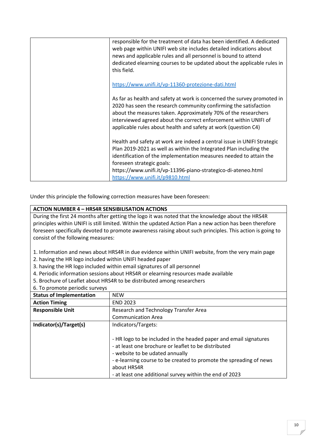| responsible for the treatment of data has been identified. A dedicated<br>web page within UNIFI web site includes detailed indications about<br>news and applicable rules and all personnel is bound to attend<br>dedicated elearning courses to be updated about the applicable rules in<br>this field.                                            |
|-----------------------------------------------------------------------------------------------------------------------------------------------------------------------------------------------------------------------------------------------------------------------------------------------------------------------------------------------------|
| https://www.unifi.it/vp-11360-protezione-dati.html                                                                                                                                                                                                                                                                                                  |
| As far as health and safety at work is concerned the survey promoted in<br>2020 has seen the research community confirming the satisfaction<br>about the measures taken. Approximately 70% of the researchers<br>interviewed agreed about the correct enforcement within UNIFI of<br>applicable rules about health and safety at work (question C4) |
| Health and safety at work are indeed a central issue in UNIFI Strategic<br>Plan 2019-2021 as well as within the Integrated Plan including the<br>identification of the implementation measures needed to attain the<br>foreseen strategic goals:                                                                                                    |
| https://www.unifi.it/vp-11396-piano-strategico-di-ateneo.html<br>https://www.unifi.it/p9810.html                                                                                                                                                                                                                                                    |

Under this principle the following correction measures have been foreseen:

#### **ACTION NUMBER 4 – HRS4R SENSIBILISATION ACTIONS**

During the first 24 months after getting the logo it was noted that the knowledge about the HRS4R principles within UNIFI is still limited. Within the updated Action Plan a new action has been therefore foreseen specifically devoted to promote awareness raising about such principles. This action is going to consist of the following measures:

1. Information and news about HRS4R in due evidence within UNIFI website, from the very main page

- 2. having the HR logo included within UNIFI headed paper
- 3. having the HR logo included within email signatures of all personnel
- 4. Periodic information sessions about HRS4R or elearning resources made available
- 5. Brochure of Leaflet about HRS4R to be distributed among researchers
- 6. To promote periodic surveys

| <b>Status of Implementation</b> | <b>NFW</b>                                                                                                                                                                                                                                                                                                   |
|---------------------------------|--------------------------------------------------------------------------------------------------------------------------------------------------------------------------------------------------------------------------------------------------------------------------------------------------------------|
| <b>Action Timing</b>            | <b>END 2023</b>                                                                                                                                                                                                                                                                                              |
| <b>Responsible Unit</b>         | Research and Technology Transfer Area                                                                                                                                                                                                                                                                        |
|                                 | <b>Communication Area</b>                                                                                                                                                                                                                                                                                    |
| Indicator(s)/Target(s)          | Indicators/Targets:                                                                                                                                                                                                                                                                                          |
|                                 | - HR logo to be included in the headed paper and email signatures<br>- at least one brochure or leaflet to be distributed<br>- website to be udated annually<br>- e-learning course to be created to promote the spreading of news<br>about HRS4R<br>- at least one additional survey within the end of 2023 |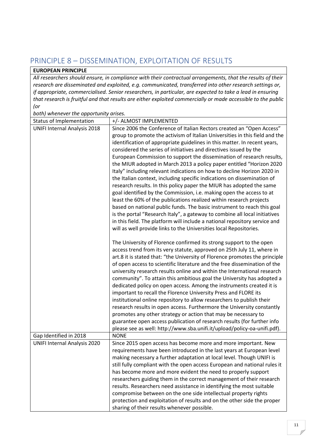## <span id="page-11-0"></span>PRINCIPLE 8 – DISSEMINATION, EXPLOITATION OF RESULTS

#### **EUROPEAN PRINCIPLE**

*All researchers should ensure, in compliance with their contractual arrangements, that the results of their research are disseminated and exploited, e.g. communicated, transferred into other research settings or, if appropriate, commercialised. Senior researchers, in particular, are expected to take a lead in ensuring that research is fruitful and that results are either exploited commercially or made accessible to the public (or*

*both) whenever the opportunity arises.*

| Status of Implementation            | +/- ALMOST IMPLEMENTED                                                      |
|-------------------------------------|-----------------------------------------------------------------------------|
| <b>UNIFI Internal Analysis 2018</b> | Since 2006 the Conference of Italian Rectors created an "Open Access"       |
|                                     | group to promote the activism of Italian Universities in this field and the |
|                                     | identification of appropriate guidelines in this matter. In recent years,   |
|                                     | considered the series of initiatives and directives issued by the           |
|                                     | European Commission to support the dissemination of research results,       |
|                                     | the MIUR adopted in March 2013 a policy paper entitled "Horizon 2020        |
|                                     | Italy" including relevant indications on how to decline Horizon 2020 in     |
|                                     | the Italian context, including specific indications on dissemination of     |
|                                     | research results. In this policy paper the MIUR has adopted the same        |
|                                     | goal identified by the Commission, i.e. making open the access to at        |
|                                     | least the 60% of the publications realized within research projects         |
|                                     | based on national public funds. The basic instrument to reach this goal     |
|                                     | is the portal "Research Italy", a gateway to combine all local initiatives  |
|                                     | in this field. The platform will include a national repository service and  |
|                                     | will as well provide links to the Universities local Repositories.          |
|                                     | The University of Florence confirmed its strong support to the open         |
|                                     | access trend from its very statute, approved on 25th July 11, where in      |
|                                     | art.8 it is stated that: "the University of Florence promotes the principle |
|                                     | of open access to scientific literature and the free dissemination of the   |
|                                     | university research results online and within the International research    |
|                                     | community". To attain this ambitious goal the University has adopted a      |
|                                     | dedicated policy on open access. Among the instruments created it is        |
|                                     | important to recall the Florence University Press and FLORE its             |
|                                     | institutional online repository to allow researchers to publish their       |
|                                     | research results in open access. Furthermore the University constantly      |
|                                     | promotes any other strategy or action that may be necessary to              |
|                                     | guarantee open access publication of research results (for further info     |
|                                     | please see as well: http://www.sba.unifi.it/upload/policy-oa-unifi.pdf).    |
| Gap Identified in 2018              | <b>NONE</b>                                                                 |
| <b>UNIFI Internal Analysis 2020</b> | Since 2015 open access has become more and more important. New              |
|                                     | requirements have been introduced in the last years at European level       |
|                                     | making necessary a further adaptation at local level. Though UNIFI is       |
|                                     | still fully compliant with the open access European and national rules it   |
|                                     | has become more and more evident the need to properly support               |
|                                     | researchers guiding them in the correct management of their research        |
|                                     | results. Researchers need assistance in identifying the most suitable       |
|                                     | compromise between on the one side intellectual property rights             |
|                                     | protection and exploitation of results and on the other side the proper     |
|                                     | sharing of their results whenever possible.                                 |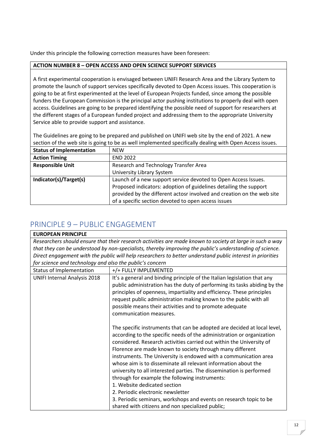Under this principle the following correction measures have been foreseen:

#### **ACTION NUMBER 8 – OPEN ACCESS AND OPEN SCIENCE SUPPORT SERVICES**

A first experimental cooperation is envisaged between UNIFI Research Area and the Library System to promote the launch of support services specifically devoted to Open Access issues. This cooperation is going to be at first experimented at the level of European Projects funded, since among the possible funders the European Commission is the principal actor pushing institutions to properly deal with open access. Guidelines are going to be prepared identifying the possible need of support for researchers at the different stages of a European funded project and addressing them to the appropriate University Service able to provide support and assistance.

The Guidelines are going to be prepared and published on UNIFI web site by the end of 2021. A new section of the web site is going to be as well implemented specifically dealing with Open Access issues.

| <b>Status of Implementation</b> | <b>NFW</b>                                                             |
|---------------------------------|------------------------------------------------------------------------|
| <b>Action Timing</b>            | <b>END 2022</b>                                                        |
| <b>Responsible Unit</b>         | Research and Technology Transfer Area                                  |
|                                 | <b>University Library System</b>                                       |
| Indicator(s)/Target(s)          | Launch of a new support service devoted to Open Access Issues.         |
|                                 | Proposed indicators: adoption of guidelines detailing the support      |
|                                 | provided by the different actosr involved and creation on the web site |
|                                 | of a specific section devoted to open access issues                    |

### <span id="page-12-0"></span>PRINCIPLE 9 – PUBLIC ENGAGEMENT

| <b>EUROPEAN PRINCIPLE</b>                                                                                  |                                                                                                                                                                                                                                                                                        |
|------------------------------------------------------------------------------------------------------------|----------------------------------------------------------------------------------------------------------------------------------------------------------------------------------------------------------------------------------------------------------------------------------------|
|                                                                                                            | Researchers should ensure that their research activities are made known to society at large in such a way                                                                                                                                                                              |
|                                                                                                            | that they can be understood by non-specialists, thereby improving the public's understanding of science.                                                                                                                                                                               |
| Direct engagement with the public will help researchers to better understand public interest in priorities |                                                                                                                                                                                                                                                                                        |
| for science and technology and also the public's concern                                                   |                                                                                                                                                                                                                                                                                        |
| Status of Implementation                                                                                   | +/+ FULLY IMPLEMENTED                                                                                                                                                                                                                                                                  |
| <b>UNIFI Internal Analysis 2018</b>                                                                        | It's a general and binding principle of the Italian legislation that any<br>public administration has the duty of performing its tasks abiding by the<br>principles of openness, impartiality and efficiency. These principles                                                         |
|                                                                                                            | request public administration making known to the public with all<br>possible means their activities and to promote adequate                                                                                                                                                           |
|                                                                                                            | communication measures.                                                                                                                                                                                                                                                                |
|                                                                                                            | The specific instruments that can be adopted are decided at local level,<br>according to the specific needs of the administration or organization<br>considered. Research activities carried out within the University of<br>Florence are made known to society through many different |
|                                                                                                            | instruments. The University is endowed with a communication area                                                                                                                                                                                                                       |
|                                                                                                            | whose aim is to disseminate all relevant information about the                                                                                                                                                                                                                         |
|                                                                                                            | university to all interested parties. The dissemination is performed                                                                                                                                                                                                                   |
|                                                                                                            | through for example the following instruments:                                                                                                                                                                                                                                         |
|                                                                                                            | 1. Website dedicated section                                                                                                                                                                                                                                                           |
|                                                                                                            | 2. Periodic electronic newsletter                                                                                                                                                                                                                                                      |
|                                                                                                            | 3. Periodic seminars, workshops and events on research topic to be                                                                                                                                                                                                                     |
|                                                                                                            | shared with citizens and non specialized public;                                                                                                                                                                                                                                       |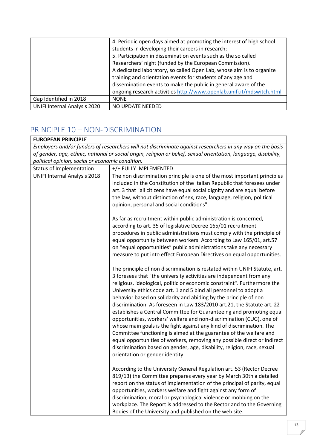|                                     | 4. Periodic open days aimed at promoting the interest of high school  |
|-------------------------------------|-----------------------------------------------------------------------|
|                                     | students in developing their careers in research;                     |
|                                     | 5. Participation in dissemination events such as the so called        |
|                                     | Researchers' night (funded by the European Commission).               |
|                                     | A dedicated laboratory, so called Open Lab, whose aim is to organize  |
|                                     | training and orientation events for students of any age and           |
|                                     | dissemination events to make the public in general aware of the       |
|                                     | ongoing research activities http://www.openlab.unifi.it/mdswitch.html |
| Gap Identified in 2018              | <b>NONE</b>                                                           |
| <b>UNIFI Internal Analysis 2020</b> | NO UPDATE NEEDED                                                      |

# <span id="page-13-0"></span>PRINCIPLE 10 – NON-DISCRIMINATION

| <b>EUROPEAN PRINCIPLE</b>                                                                                        |                                                                                                                                                                                                                                                                                                                                                                                                                                                                                                                                                                                                                                                                                                                                                                                                                                                                                                                                            |
|------------------------------------------------------------------------------------------------------------------|--------------------------------------------------------------------------------------------------------------------------------------------------------------------------------------------------------------------------------------------------------------------------------------------------------------------------------------------------------------------------------------------------------------------------------------------------------------------------------------------------------------------------------------------------------------------------------------------------------------------------------------------------------------------------------------------------------------------------------------------------------------------------------------------------------------------------------------------------------------------------------------------------------------------------------------------|
| Employers and/or funders of researchers will not discriminate against researchers in any way on the basis        |                                                                                                                                                                                                                                                                                                                                                                                                                                                                                                                                                                                                                                                                                                                                                                                                                                                                                                                                            |
| of gender, age, ethnic, national or social origin, religion or belief, sexual orientation, language, disability, |                                                                                                                                                                                                                                                                                                                                                                                                                                                                                                                                                                                                                                                                                                                                                                                                                                                                                                                                            |
| political opinion, social or economic condition.                                                                 |                                                                                                                                                                                                                                                                                                                                                                                                                                                                                                                                                                                                                                                                                                                                                                                                                                                                                                                                            |
| Status of Implementation                                                                                         | +/+ FULLY IMPLEMENTED                                                                                                                                                                                                                                                                                                                                                                                                                                                                                                                                                                                                                                                                                                                                                                                                                                                                                                                      |
| <b>UNIFI Internal Analysis 2018</b>                                                                              | The non discrimination principle is one of the most important principles<br>included in the Constitution of the Italian Republic that foresees under<br>art. 3 that "all citizens have equal social dignity and are equal before<br>the law, without distinction of sex, race, language, religion, political<br>opinion, personal and social conditions".                                                                                                                                                                                                                                                                                                                                                                                                                                                                                                                                                                                  |
|                                                                                                                  | As far as recruitment within public administration is concerned,<br>according to art. 35 of legislative Decree 165/01 recruitment<br>procedures in public administrations must comply with the principle of<br>equal opportunity between workers. According to Law 165/01, art.57<br>on "equal opportunities" public administrations take any necessary<br>measure to put into effect European Directives on equal opportunities.                                                                                                                                                                                                                                                                                                                                                                                                                                                                                                          |
|                                                                                                                  | The principle of non discrimination is restated within UNIFI Statute, art.<br>3 foresees that "the university activities are independent from any<br>religious, ideological, politic or economic constraint". Furthermore the<br>University ethics code art. 1 and 5 bind all personnel to adopt a<br>behavior based on solidarity and abiding by the principle of non<br>discrimination. As foreseen in Law 183/2010 art.21, the Statute art. 22<br>establishes a Central Committee for Guaranteeing and promoting equal<br>opportunities, workers' welfare and non-discrimination (CUG), one of<br>whose main goals is the fight against any kind of discrimination. The<br>Committee functioning is aimed at the guarantee of the welfare and<br>equal opportunities of workers, removing any possible direct or indirect<br>discrimination based on gender, age, disability, religion, race, sexual<br>orientation or gender identity. |
|                                                                                                                  | According to the University General Regulation art. 53 (Rector Decree<br>819/13) the Committee prepares every year by March 30th a detailed<br>report on the status of implementation of the principal of parity, equal<br>opportunities, workers welfare and fight against any form of<br>discrimination, moral or psychological violence or mobbing on the<br>workplace. The Report is addressed to the Rector and to the Governing<br>Bodies of the University and published on the web site.                                                                                                                                                                                                                                                                                                                                                                                                                                           |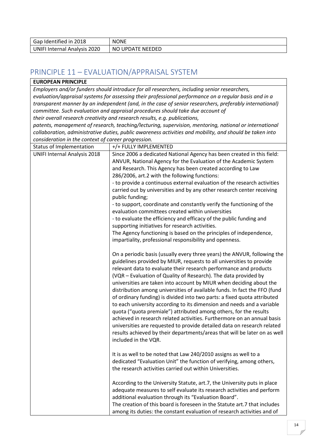| Gap Identified in 2018       | <b>NONE</b>      |
|------------------------------|------------------|
| UNIFI Internal Analysis 2020 | NO UPDATE NEEDED |

### <span id="page-14-0"></span>PRINCIPLE 11 – EVALUATION/APPRAISAL SYSTEM

### **EUROPEAN PRINCIPLE**

*Employers and/or funders should introduce for all researchers, including senior researchers, evaluation/appraisal systems for assessing their professional performance on a regular basis and in a transparent manner by an independent (and, in the case of senior researchers, preferably international) committee. Such evaluation and appraisal procedures should take due account of their overall research creativity and research results, e.g. publications,*

*patents, management of research, teaching/lecturing, supervision, mentoring, national or international collaboration, administrative duties, public awareness activities and mobility, and should be taken into consideration in the context of career progression.*

| consideration in the context of career progression.<br>Status of Implementation | +/+ FULLY IMPLEMENTED                                                                     |
|---------------------------------------------------------------------------------|-------------------------------------------------------------------------------------------|
| <b>UNIFI Internal Analysis 2018</b>                                             | Since 2006 a dedicated National Agency has been created in this field:                    |
|                                                                                 | ANVUR, National Agency for the Evaluation of the Academic System                          |
|                                                                                 | and Research. This Agency has been created according to Law                               |
|                                                                                 | 286/2006, art.2 with the following functions:                                             |
|                                                                                 | - to provide a continuous external evaluation of the research activities                  |
|                                                                                 | carried out by universities and by any other research center receiving<br>public funding; |
|                                                                                 | - to support, coordinate and constantly verify the functioning of the                     |
|                                                                                 | evaluation committees created within universities                                         |
|                                                                                 | - to evaluate the efficiency and efficacy of the public funding and                       |
|                                                                                 | supporting initiatives for research activities.                                           |
|                                                                                 | The Agency functioning is based on the principles of independence,                        |
|                                                                                 | impartiality, professional responsibility and openness.                                   |
|                                                                                 |                                                                                           |
|                                                                                 | On a periodic basis (usually every three years) the ANVUR, following the                  |
|                                                                                 | guidelines provided by MIUR, requests to all universities to provide                      |
|                                                                                 | relevant data to evaluate their research performance and products                         |
|                                                                                 | (VQR - Evaluation of Quality of Research). The data provided by                           |
|                                                                                 | universities are taken into account by MIUR when deciding about the                       |
|                                                                                 | distribution among universities of available funds. In fact the FFO (fund                 |
|                                                                                 | of ordinary funding) is divided into two parts: a fixed quota attributed                  |
|                                                                                 | to each university according to its dimension and needs and a variable                    |
|                                                                                 | quota ("quota premiale") attributed among others, for the results                         |
|                                                                                 | achieved in research related activities. Furthermore on an annual basis                   |
|                                                                                 | universities are requested to provide detailed data on research related                   |
|                                                                                 | results achieved by their departments/areas that will be later on as well                 |
|                                                                                 | included in the VQR.                                                                      |
|                                                                                 |                                                                                           |
|                                                                                 | It is as well to be noted that Law 240/2010 assigns as well to a                          |
|                                                                                 | dedicated "Evaluation Unit" the function of verifying, among others,                      |
|                                                                                 | the research activities carried out within Universities.                                  |
|                                                                                 |                                                                                           |
|                                                                                 | According to the University Statute, art.7, the University puts in place                  |
|                                                                                 | adequate measures to self evaluate its research activities and perform                    |
|                                                                                 | additional evaluation through its "Evaluation Board".                                     |
|                                                                                 | The creation of this board is foreseen in the Statute art.7 that includes                 |
|                                                                                 | among its duties: the constant evaluation of research activities and of                   |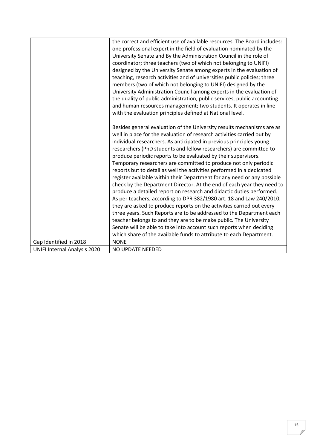|                                     | the correct and efficient use of available resources. The Board includes: |
|-------------------------------------|---------------------------------------------------------------------------|
|                                     | one professional expert in the field of evaluation nominated by the       |
|                                     | University Senate and By the Administration Council in the role of        |
|                                     | coordinator; three teachers (two of which not belonging to UNIFI)         |
|                                     | designed by the University Senate among experts in the evaluation of      |
|                                     | teaching, research activities and of universities public policies; three  |
|                                     | members (two of which not belonging to UNIFI) designed by the             |
|                                     | University Administration Council among experts in the evaluation of      |
|                                     | the quality of public administration, public services, public accounting  |
|                                     | and human resources management; two students. It operates in line         |
|                                     | with the evaluation principles defined at National level.                 |
|                                     |                                                                           |
|                                     | Besides general evaluation of the University results mechanisms are as    |
|                                     | well in place for the evaluation of research activities carried out by    |
|                                     | individual researchers. As anticipated in previous principles young       |
|                                     | researchers (PhD students and fellow researchers) are committed to        |
|                                     | produce periodic reports to be evaluated by their supervisors.            |
|                                     | Temporary researchers are committed to produce not only periodic          |
|                                     | reports but to detail as well the activities performed in a dedicated     |
|                                     | register available within their Department for any need or any possible   |
|                                     | check by the Department Director. At the end of each year they need to    |
|                                     | produce a detailed report on research and didactic duties performed.      |
|                                     | As per teachers, according to DPR 382/1980 art. 18 and Law 240/2010,      |
|                                     | they are asked to produce reports on the activities carried out every     |
|                                     |                                                                           |
|                                     | three years. Such Reports are to be addressed to the Department each      |
|                                     | teacher belongs to and they are to be make public. The University         |
|                                     | Senate will be able to take into account such reports when deciding       |
|                                     | which share of the available funds to attribute to each Department.       |
| Gap Identified in 2018              | <b>NONE</b>                                                               |
| <b>UNIFI Internal Analysis 2020</b> | NO UPDATE NEEDED                                                          |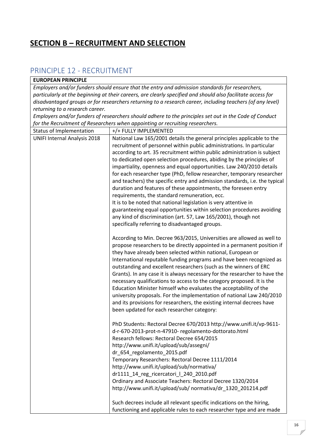### <span id="page-16-0"></span>**SECTION B – RECRUITMENT AND SELECTION**

### <span id="page-16-1"></span>PRINCIPLE 12 - RECRUITMENT

#### **EUROPEAN PRINCIPLE**

*Employers and/or funders should ensure that the entry and admission standards for researchers, particularly at the beginning at their careers, are clearly specified and should also facilitate access for disadvantaged groups or for researchers returning to a research career, including teachers (of any level) returning to a research career.*

*Employers and/or funders of researchers should adhere to the principles set out in the Code of Conduct for the Recruitment of Researchers when appointing or recruiting researchers.*

| Status of Implementation            | +/+ FULLY IMPLEMENTED                                                                 |
|-------------------------------------|---------------------------------------------------------------------------------------|
| <b>UNIFI Internal Analysis 2018</b> | National Law 165/2001 details the general principles applicable to the                |
|                                     | recruitment of personnel within public administrations. In particular                 |
|                                     | according to art. 35 recruitment within public administration is subject              |
|                                     | to dedicated open selection procedures, abiding by the principles of                  |
|                                     | impartiality, openness and equal opportunities. Law 240/2010 details                  |
|                                     | for each researcher type (PhD, fellow researcher, temporary researcher                |
|                                     | and teachers) the specific entry and admission standards, i.e. the typical            |
|                                     | duration and features of these appointments, the foreseen entry                       |
|                                     | requirements, the standard remuneration, ecc.                                         |
|                                     | It is to be noted that national legislation is very attentive in                      |
|                                     | guaranteeing equal opportunities within selection procedures avoiding                 |
|                                     | any kind of discrimination (art. 57, Law 165/2001), though not                        |
|                                     | specifically referring to disadvantaged groups.                                       |
|                                     | According to Min. Decree 963/2015, Universities are allowed as well to                |
|                                     | propose researchers to be directly appointed in a permanent position if               |
|                                     | they have already been selected within national, European or                          |
|                                     | International reputable funding programs and have been recognized as                  |
|                                     | outstanding and excellent researchers (such as the winners of ERC                     |
|                                     | Grants). In any case it is always necessary for the researcher to have the            |
|                                     | necessary qualifications to access to the category proposed. It is the                |
|                                     | Education Minister himself who evaluates the acceptability of the                     |
|                                     | university proposals. For the implementation of national Law 240/2010                 |
|                                     | and its provisions for researchers, the existing internal decrees have                |
|                                     | been updated for each researcher category:                                            |
|                                     |                                                                                       |
|                                     | PhD Students: Rectoral Decree 670/2013 http://www.unifi.it/vp-9611-                   |
|                                     | d-r-670-2013-prot-n-47910-regolamento-dottorato.html                                  |
|                                     | Research fellows: Rectoral Decree 654/2015<br>http://www.unifi.it/upload/sub/assegni/ |
|                                     | dr_654_regolamento_2015.pdf                                                           |
|                                     | Temporary Researchers: Rectoral Decree 1111/2014                                      |
|                                     | http://www.unifi.it/upload/sub/normativa/                                             |
|                                     | dr1111_14_reg_ricercatori   240_2010.pdf                                              |
|                                     | Ordinary and Associate Teachers: Rectoral Decree 1320/2014                            |
|                                     | http://www.unifi.it/upload/sub/ normativa/dr 1320 201214.pdf                          |
|                                     |                                                                                       |
|                                     | Such decrees include all relevant specific indications on the hiring,                 |
|                                     | functioning and applicable rules to each researcher type and are made                 |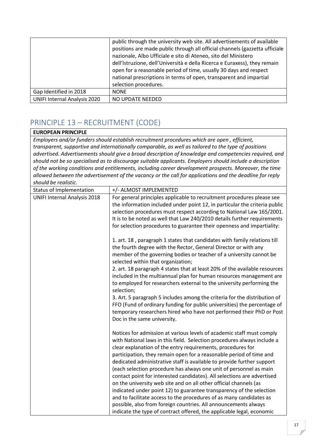|                                     | public through the university web site. All advertisements of available     |
|-------------------------------------|-----------------------------------------------------------------------------|
|                                     | positions are made public through all official channels (gazzetta ufficiale |
|                                     | nazionale, Albo Ufficiale e sito di Ateneo, sito del Ministero              |
|                                     | dell'Istruzione, dell'Università e della Ricerca e Euraxess), they remain   |
|                                     | open for a reasonable period of time, usually 30 days and respect           |
|                                     | national prescriptions in terms of open, transparent and impartial          |
|                                     | selection procedures.                                                       |
| Gap Identified in 2018              | <b>NONE</b>                                                                 |
| <b>UNIFI Internal Analysis 2020</b> | NO UPDATE NEEDED                                                            |

# <span id="page-17-0"></span>PRINCIPLE 13 – RECRUITMENT (CODE)

### **EUROPEAN PRINCIPLE**

*Employers and/or funders should establish recruitment procedures which are open , efficient, transparent, supportive and internationally comparable, as well as tailored to the type of positions advertised. Advertisements should give a broad description of knowledge and competencies required, and should not be so specialised as to discourage suitable applicants. Employers should include a description of the working conditions and entitlements, including career development prospects. Moreover, the time allowed between the advertisement of the vacancy or the call for applications and the deadline for reply should be realistic.*

| Status of Implementation            | +/- ALMOST IMPLEMENTED                                                                                    |
|-------------------------------------|-----------------------------------------------------------------------------------------------------------|
| <b>UNIFI Internal Analysis 2018</b> | For general principles applicable to recruitment procedures please see                                    |
|                                     | the information included under point 12, in particular the criteria public                                |
|                                     | selection procedures must respect according to National Law 165/2001.                                     |
|                                     | It is to be noted as well that Law 240/2010 details further requirements                                  |
|                                     | for selection procedures to guarantee their openness and impartiality:                                    |
|                                     | 1. art. 18, paragraph 1 states that candidates with family relations till                                 |
|                                     | the fourth degree with the Rector, General Director or with any                                           |
|                                     | member of the governing bodies or teacher of a university cannot be<br>selected within that organization; |
|                                     | 2. art. 18 paragraph 4 states that at least 20% of the available resources                                |
|                                     | included in the multiannual plan for human resources management are                                       |
|                                     | to employed for researchers external to the university performing the<br>selection;                       |
|                                     | 3. Art. 5 paragraph 5 includes among the criteria for the distribution of                                 |
|                                     | FFO (Fund of ordinary funding for public universities) the percentage of                                  |
|                                     | temporary researchers hired who have not performed their PhD or Post                                      |
|                                     | Doc in the same university.                                                                               |
|                                     | Notices for admission at various levels of academic staff must comply                                     |
|                                     | with National laws in this field. Selection procedures always include a                                   |
|                                     | clear explanation of the entry requirements, procedures for                                               |
|                                     | participation, they remain open for a reasonable period of time and                                       |
|                                     | dedicated administrative staff is available to provide further support                                    |
|                                     | (each selection procedure has always one unit of personnel as main                                        |
|                                     | contact point for interested candidates). All selections are advertised                                   |
|                                     | on the university web site and on all other official channels (as                                         |
|                                     | indicated under point 12) to guarantee transparency of the selection                                      |
|                                     | and to facilitate access to the procedures of as many candidates as                                       |
|                                     | possible, also from foreign countries. All announcements always                                           |
|                                     | indicate the type of contract offered, the applicable legal, economic                                     |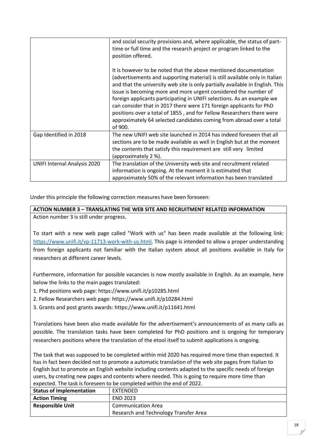|                                     | and social security provisions and, where applicable, the status of part-<br>time or full time and the research project or program linked to the<br>position offered.                                                                                                                                                                                                                                                                                                                                                                                                                                            |
|-------------------------------------|------------------------------------------------------------------------------------------------------------------------------------------------------------------------------------------------------------------------------------------------------------------------------------------------------------------------------------------------------------------------------------------------------------------------------------------------------------------------------------------------------------------------------------------------------------------------------------------------------------------|
|                                     | It is however to be noted that the above mentioned documentation<br>(advertisements and supporting material) is still available only in Italian<br>and that the university web site is only partially available in English. This<br>issue is becoming more and more urgent considered the number of<br>foreign applicants participating in UNIFI selections. As an example we<br>can consider that in 2017 there were 171 foreign applicants for PhD<br>positions over a total of 1855, and for Fellow Researchers there were<br>approximately 64 selected candidates coming from abroad over a total<br>of 900. |
| Gap Identified in 2018              | The new UNIFI web site launched in 2014 has indeed foreseen that all<br>sections are to be made available as well in English but at the moment<br>the contents that satisfy this requirement are still very limited<br>(approximately 2 %).                                                                                                                                                                                                                                                                                                                                                                      |
| <b>UNIFI Internal Analysis 2020</b> | The translation of the University web site and recruitment related<br>information is ongoing. At the moment it is estimated that<br>approximately 50% of the relevant information has been translated                                                                                                                                                                                                                                                                                                                                                                                                            |

Under this principle the following correction measures have been foreseen:

#### **ACTION NUMBER 3 – TRANSLATING THE WEB SITE AND RECRUITMENT RELATED INFORMATION** Action number 3 is still under progress.

To start with a new web page called "Work with us" has been made available at the following link: [https://www.unifi.it/vp-11713-work-with-us.html.](https://www.unifi.it/vp-11713-work-with-us.html) This page is intended to allow a proper understanding from foreign applicants not familiar with the Italian system about all positions available in Italy for researchers at different career levels.

Furthermore, information for possible vacancies is now mostly available in English. As an example, here below the links to the main pages translated:

- 1. Phd positions web page: https://www.unifi.it/p10285.html
- 2. Fellow Researchers web page: https://www.unifi.it/p10284.html
- 3. Grants and post grants awards: https://www.unifi.it/p11641.html

Translations have been also made available for the advertisement's announcements of as many calls as possible. The translation tasks have been completed for PhD positions and is ongoing for temporary researchers positions where the translation of the etool itself to submit applications is ongoing.

The task that was supposed to be completed within mid 2020 has required more time than expected. It has in fact been decided not to promote a automatic translation of the web site pages from Italian to English but to promote an English website including contents adapted to the specific needs of foreign users, by creating new pages and contents where needed. This is going to require more time than expected. The task is foreseen to be completed within the end of 2022.

| <b>Status of Implementation</b> | EXTENDED                              |
|---------------------------------|---------------------------------------|
| <b>Action Timing</b>            | <b>END 2023</b>                       |
| <b>Responsible Unit</b>         | <b>Communication Area</b>             |
|                                 | Research and Technology Transfer Area |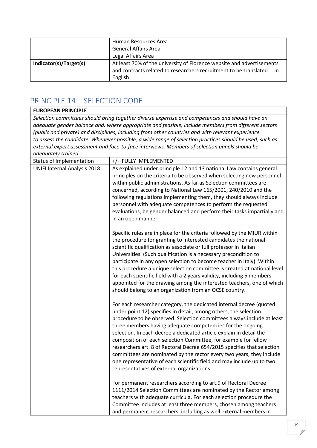|                        | Human Resources Area<br><b>General Affairs Area</b>                                                                                           |
|------------------------|-----------------------------------------------------------------------------------------------------------------------------------------------|
|                        | Legal Affairs Area                                                                                                                            |
| Indicator(s)/Target(s) | At least 70% of the university of Florence website and advertisements<br>and contracts related to researchers recruitment to be translated in |
|                        | English.                                                                                                                                      |

# <span id="page-19-0"></span>PRINCIPLE 14 – SELECTION CODE

| <b>EUROPEAN PRINCIPLE</b>           |                                                                                                                                                                                                                                                                                                                                                                                                                                                                                                                                                                                                                                                                                                     |
|-------------------------------------|-----------------------------------------------------------------------------------------------------------------------------------------------------------------------------------------------------------------------------------------------------------------------------------------------------------------------------------------------------------------------------------------------------------------------------------------------------------------------------------------------------------------------------------------------------------------------------------------------------------------------------------------------------------------------------------------------------|
|                                     | Selection committees should bring together diverse expertise and competences and should have an                                                                                                                                                                                                                                                                                                                                                                                                                                                                                                                                                                                                     |
|                                     | adequate gender balance and, where appropriate and feasible, include members from different sectors                                                                                                                                                                                                                                                                                                                                                                                                                                                                                                                                                                                                 |
|                                     | (public and private) and disciplines, including from other countries and with relevant experience                                                                                                                                                                                                                                                                                                                                                                                                                                                                                                                                                                                                   |
|                                     | to assess the candidate. Whenever possible, a wide range of selection practices should be used, such as                                                                                                                                                                                                                                                                                                                                                                                                                                                                                                                                                                                             |
|                                     | external expert assessment and face-to-face interviews. Members of selection panels should be                                                                                                                                                                                                                                                                                                                                                                                                                                                                                                                                                                                                       |
| adequately trained.                 |                                                                                                                                                                                                                                                                                                                                                                                                                                                                                                                                                                                                                                                                                                     |
| Status of Implementation            | +/+ FULLY IMPLEMENTED                                                                                                                                                                                                                                                                                                                                                                                                                                                                                                                                                                                                                                                                               |
| <b>UNIFI Internal Analysis 2018</b> | As explained under principle 12 and 13 national Law contains general<br>principles on the criteria to be observed when selecting new personnel<br>within public administrations. As far as Selection committees are<br>concerned, according to National Law 165/2001, 240/2010 and the<br>following regulations implementing them, they should always include                                                                                                                                                                                                                                                                                                                                       |
|                                     | personnel with adequate competences to perform the requested<br>evaluations, be gender balanced and perform their tasks impartially and<br>in an open manner.                                                                                                                                                                                                                                                                                                                                                                                                                                                                                                                                       |
|                                     | Specific rules are in place for the criteria followed by the MIUR within<br>the procedure for granting to interested candidates the national<br>scientific qualification as associate or full professor in Italian<br>Universities. (Such qualification is a necessary precondition to<br>participate in any open selection to become teacher in Italy). Within<br>this procedure a unique selection committee is created at national level<br>for each scientific field with a 2 years validity, including 5 members<br>appointed for the drawing among the interested teachers, one of which<br>should belong to an organization from an OCSE country.                                            |
|                                     | For each researcher category, the dedicated internal decree (quoted<br>under point 12) specifies in detail, among others, the selection<br>procedure to be observed. Selection committees always include at least<br>three members having adequate competencies for the ongoing<br>selection. In each decree a dedicated article explain in detail the<br>composition of each selection Committee, for example for fellow<br>researchers art. 8 of Rectoral Decree 654/2015 specifies that selection<br>committees are nominated by the rector every two years, they include<br>one representative of each scientific field and may include up to two<br>representatives of external organizations. |
|                                     | For permanent researchers according to art.9 of Rectoral Decree<br>1111/2014 Selection Committees are nominated by the Rector among<br>teachers with adequate curricula. For each selection procedure the<br>Committee includes at least three members, chosen among teachers<br>and permanent researchers, including as well external members in                                                                                                                                                                                                                                                                                                                                                   |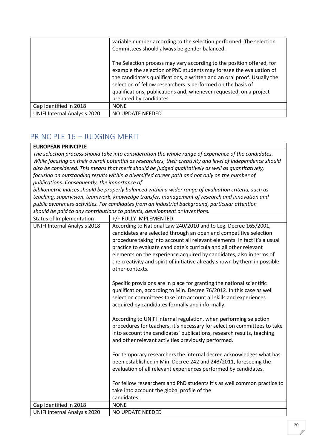|                                     | variable number according to the selection performed. The selection                                                                                                                                                                                                                                                                                                                       |
|-------------------------------------|-------------------------------------------------------------------------------------------------------------------------------------------------------------------------------------------------------------------------------------------------------------------------------------------------------------------------------------------------------------------------------------------|
|                                     | Committees should always be gender balanced.                                                                                                                                                                                                                                                                                                                                              |
|                                     | The Selection process may vary according to the position offered, for<br>example the selection of PhD students may foresee the evaluation of<br>the candidate's qualifications, a written and an oral proof. Usually the<br>selection of fellow researchers is performed on the basis of<br>qualifications, publications and, whenever requested, on a project<br>prepared by candidates. |
| Gap Identified in 2018              | <b>NONE</b>                                                                                                                                                                                                                                                                                                                                                                               |
| <b>UNIFI Internal Analysis 2020</b> | NO UPDATE NEEDED                                                                                                                                                                                                                                                                                                                                                                          |

## <span id="page-20-0"></span>PRINCIPLE 16 – JUDGING MERIT

#### **EUROPEAN PRINCIPLE**

*The selection process should take into consideration the whole range of experience of the candidates. While focusing on their overall potential as researchers, their creativity and level of independence should also be considered. This means that merit should be judged qualitatively as well as quantitatively, focusing on outstanding results within a diversified career path and not only on the number of publications. Consequently, the importance of*

*bibliometric indices should be properly balanced within a wider range of evaluation criteria, such as teaching, supervision, teamwork, knowledge transfer, management of research and innovation and public awareness activities. For candidates from an industrial background, particular attention should be paid to any contributions to patents, development or inventions.*

| Status of Implementation            | +/+ FULLY IMPLEMENTED                                                                                                                                                                                                                                                         |
|-------------------------------------|-------------------------------------------------------------------------------------------------------------------------------------------------------------------------------------------------------------------------------------------------------------------------------|
| <b>UNIFI Internal Analysis 2018</b> | According to National Law 240/2010 and to Leg. Decree 165/2001,                                                                                                                                                                                                               |
|                                     | candidates are selected through an open and competitive selection                                                                                                                                                                                                             |
|                                     | procedure taking into account all relevant elements. In fact it's a usual                                                                                                                                                                                                     |
|                                     | practice to evaluate candidate's curricula and all other relevant                                                                                                                                                                                                             |
|                                     | elements on the experience acquired by candidates, also in terms of                                                                                                                                                                                                           |
|                                     | the creativity and spirit of initiative already shown by them in possible                                                                                                                                                                                                     |
|                                     | other contexts.                                                                                                                                                                                                                                                               |
|                                     | Specific provisions are in place for granting the national scientific<br>qualification, according to Min. Decree 76/2012. In this case as well<br>selection committees take into account all skills and experiences<br>acquired by candidates formally and informally.        |
|                                     | According to UNIFI internal regulation, when performing selection<br>procedures for teachers, it's necessary for selection committees to take<br>into account the candidates' publications, research results, teaching<br>and other relevant activities previously performed. |
|                                     | For temporary researchers the internal decree acknowledges what has<br>been established in Min. Decree 242 and 243/2011, foreseeing the<br>evaluation of all relevant experiences performed by candidates.                                                                    |
|                                     | For fellow researchers and PhD students it's as well common practice to                                                                                                                                                                                                       |
|                                     | take into account the global profile of the                                                                                                                                                                                                                                   |
|                                     | candidates.                                                                                                                                                                                                                                                                   |
| Gap Identified in 2018              | <b>NONE</b>                                                                                                                                                                                                                                                                   |
| <b>UNIFI Internal Analysis 2020</b> | NO UPDATE NEEDED                                                                                                                                                                                                                                                              |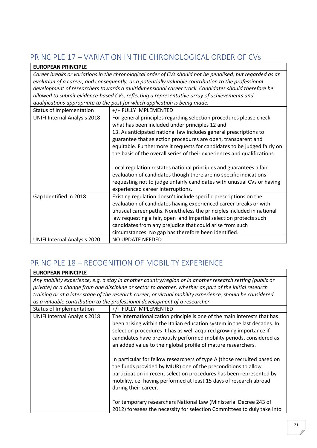# <span id="page-21-0"></span>PRINCIPLE 17 – VARIATION IN THE CHRONOLOGICAL ORDER OF CVs

### **EUROPEAN PRINCIPLE**

*Career breaks or variations in the chronological order of CVs should not be penalised, but regarded as an evolution of a career, and consequently, as a potentially valuable contribution to the professional development of researchers towards a multidimensional career track. Candidates should therefore be allowed to submit evidence-based CVs, reflecting a representative array of achievements and qualifications appropriate to the post for which application is being made.*

| gaanjicacions appropriate to the post for which application is being made. |                                                                          |  |
|----------------------------------------------------------------------------|--------------------------------------------------------------------------|--|
| Status of Implementation                                                   | +/+ FULLY IMPLEMENTED                                                    |  |
| <b>UNIFI Internal Analysis 2018</b>                                        | For general principles regarding selection procedures please check       |  |
|                                                                            | what has been included under principles 12 and                           |  |
|                                                                            | 13. As anticipated national law includes general prescriptions to        |  |
|                                                                            | guarantee that selection procedures are open, transparent and            |  |
|                                                                            | equitable. Furthermore it requests for candidates to be judged fairly on |  |
|                                                                            | the basis of the overall series of their experiences and qualifications. |  |
|                                                                            | Local regulation restates national principles and guarantees a fair      |  |
|                                                                            | evaluation of candidates though there are no specific indications        |  |
|                                                                            | requesting not to judge unfairly candidates with unusual CVs or having   |  |
|                                                                            | experienced career interruptions.                                        |  |
| Gap Identified in 2018                                                     | Existing regulation doesn't include specific prescriptions on the        |  |
|                                                                            | evaluation of candidates having experienced career breaks or with        |  |
|                                                                            | unusual career paths. Nonetheless the principles included in national    |  |
|                                                                            | law requesting a fair, open and impartial selection protects such        |  |
|                                                                            | candidates from any prejudice that could arise from such                 |  |
|                                                                            | circumstances. No gap has therefore been identified.                     |  |
| <b>UNIFI Internal Analysis 2020</b>                                        | <b>NO UPDATE NEEDED</b>                                                  |  |

## <span id="page-21-1"></span>PRINCIPLE 18 – RECOGNITION OF MOBILITY EXPERIENCE

| <b>EUROPEAN PRINCIPLE</b>                                                                              |                                                                                                                                                                                                                                                                                                                                                                     |
|--------------------------------------------------------------------------------------------------------|---------------------------------------------------------------------------------------------------------------------------------------------------------------------------------------------------------------------------------------------------------------------------------------------------------------------------------------------------------------------|
|                                                                                                        | Any mobility experience, e.g. a stay in another country/region or in another research setting (public or                                                                                                                                                                                                                                                            |
| private) or a change from one discipline or sector to another, whether as part of the initial research |                                                                                                                                                                                                                                                                                                                                                                     |
|                                                                                                        | training or at a later stage of the research career, or virtual mobility experience, should be considered                                                                                                                                                                                                                                                           |
|                                                                                                        | as a valuable contribution to the professional development of a researcher.                                                                                                                                                                                                                                                                                         |
| Status of Implementation                                                                               | +/+ FULLY IMPLEMENTED                                                                                                                                                                                                                                                                                                                                               |
| <b>UNIFI Internal Analysis 2018</b>                                                                    | The internationalization principle is one of the main interests that has<br>been arising within the Italian education system in the last decades. In<br>selection procedures it has as well acquired growing importance if<br>candidates have previously performed mobility periods, considered as<br>an added value to their global profile of mature researchers. |
|                                                                                                        | In particular for fellow researchers of type A (those recruited based on<br>the funds provided by MIUR) one of the preconditions to allow<br>participation in recent selection procedures has been represented by<br>mobility, i.e. having performed at least 15 days of research abroad<br>during their career.                                                    |
|                                                                                                        | For temporary researchers National Law (Ministerial Decree 243 of<br>2012) foresees the necessity for selection Committees to duly take into                                                                                                                                                                                                                        |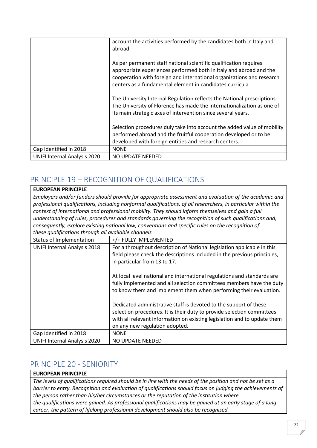|                                     | account the activities performed by the candidates both in Italy and<br>abroad.                                                                                                                                                                                               |
|-------------------------------------|-------------------------------------------------------------------------------------------------------------------------------------------------------------------------------------------------------------------------------------------------------------------------------|
|                                     | As per permanent staff national scientific qualification requires<br>appropriate experiences performed both in Italy and abroad and the<br>cooperation with foreign and international organizations and research<br>centers as a fundamental element in candidates curricula. |
|                                     | The University Internal Regulation reflects the National prescriptions.<br>The University of Florence has made the internationalization as one of<br>its main strategic axes of intervention since several years.                                                             |
|                                     | Selection procedures duly take into account the added value of mobility<br>performed abroad and the fruitful cooperation developed or to be<br>developed with foreign entities and research centers.                                                                          |
| Gap Identified in 2018              | <b>NONE</b>                                                                                                                                                                                                                                                                   |
| <b>UNIFI Internal Analysis 2020</b> | NO UPDATE NEEDED                                                                                                                                                                                                                                                              |

# <span id="page-22-0"></span>PRINCIPLE 19 – RECOGNITION OF QUALIFICATIONS

| <b>EUROPEAN PRINCIPLE</b>                           |                                                                                                                                                                                                                                                           |
|-----------------------------------------------------|-----------------------------------------------------------------------------------------------------------------------------------------------------------------------------------------------------------------------------------------------------------|
|                                                     | Employers and/or funders should provide for appropriate assessment and evaluation of the academic and                                                                                                                                                     |
|                                                     | professional qualifications, including nonformal qualifications, of all researchers, in particular within the                                                                                                                                             |
|                                                     | context of international and professional mobility. They should inform themselves and gain a full                                                                                                                                                         |
|                                                     | understanding of rules, procedures and standards governing the recognition of such qualifications and,                                                                                                                                                    |
|                                                     | consequently, explore existing national law, conventions and specific rules on the recognition of                                                                                                                                                         |
| these qualifications through all available channels |                                                                                                                                                                                                                                                           |
| Status of Implementation                            | +/+ FULLY IMPLEMENTED                                                                                                                                                                                                                                     |
| <b>UNIFI Internal Analysis 2018</b>                 | For a throughout description of National legislation applicable in this<br>field please check the descriptions included in the previous principles,<br>in particular from 13 to 17.                                                                       |
|                                                     | At local level national and international regulations and standards are<br>fully implemented and all selection committees members have the duty<br>to know them and implement them when performing their evaluation.                                      |
|                                                     | Dedicated administrative staff is devoted to the support of these<br>selection procedures. It is their duty to provide selection committees<br>with all relevant information on existing legislation and to update them<br>on any new regulation adopted. |
| Gap Identified in 2018                              | <b>NONE</b>                                                                                                                                                                                                                                               |
| <b>UNIFI Internal Analysis 2020</b>                 | NO UPDATE NEEDED                                                                                                                                                                                                                                          |

## <span id="page-22-1"></span>PRINCIPLE 20 - SENIORITY

### **EUROPEAN PRINCIPLE**

*The levels of qualifications required should be in line with the needs of the position and not be set as a barrier to entry. Recognition and evaluation of qualifications should focus on judging the achievements of the person rather than his/her circumstances or the reputation of the institution where the qualifications were gained. As professional qualifications may be gained at an early stage of a long career, the pattern of lifelong professional development should also be recognised.*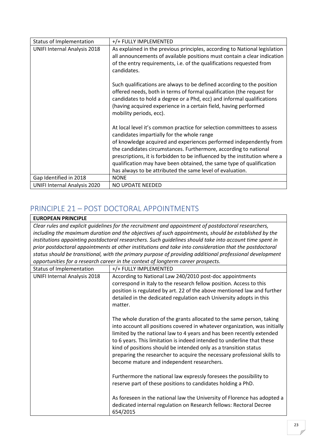| Status of Implementation            | +/+ FULLY IMPLEMENTED                                                                                                                                                                                                                                                                                        |
|-------------------------------------|--------------------------------------------------------------------------------------------------------------------------------------------------------------------------------------------------------------------------------------------------------------------------------------------------------------|
| <b>UNIFI Internal Analysis 2018</b> | As explained in the previous principles, according to National legislation<br>all announcements of available positions must contain a clear indication<br>of the entry requirements, i.e. of the qualifications requested from                                                                               |
|                                     | candidates.<br>Such qualifications are always to be defined according to the position<br>offered needs, both in terms of formal qualification (the request for<br>candidates to hold a degree or a Phd, ecc) and informal qualifications<br>(having acquired experience in a certain field, having performed |
|                                     | mobility periods, ecc).<br>At local level it's common practice for selection committees to assess<br>candidates impartially for the whole range<br>of knowledge acquired and experiences performed independently from<br>the candidates circumstances. Furthermore, according to national                    |
|                                     | prescriptions, it is forbidden to be influenced by the institution where a<br>qualification may have been obtained, the same type of qualification<br>has always to be attributed the same level of evaluation.                                                                                              |
| Gap Identified in 2018              | <b>NONE</b>                                                                                                                                                                                                                                                                                                  |
| <b>UNIFI Internal Analysis 2020</b> | NO UPDATE NEEDED                                                                                                                                                                                                                                                                                             |

### <span id="page-23-0"></span>PRINCIPLE 21 – POST DOCTORAL APPOINTMENTS

# **EUROPEAN PRINCIPLE**

*Clear rules and explicit guidelines for the recruitment and appointment of postdoctoral researchers, including the maximum duration and the objectives of such appointments, should be established by the institutions appointing postdoctoral researchers. Such guidelines should take into account time spent in prior postdoctoral appointments at other institutions and take into consideration that the postdoctoral status should be transitional, with the primary purpose of providing additional professional development opportunities for a research career in the context of longterm career prospects.*

| Status of Implementation            | +/+ FULLY IMPLEMENTED                                                                                                                                                                                                                                                                                                                                                                                                                                                                                |
|-------------------------------------|------------------------------------------------------------------------------------------------------------------------------------------------------------------------------------------------------------------------------------------------------------------------------------------------------------------------------------------------------------------------------------------------------------------------------------------------------------------------------------------------------|
| <b>UNIFI Internal Analysis 2018</b> | According to National Law 240/2010 post-doc appointments<br>correspond in Italy to the research fellow position. Access to this<br>position is regulated by art. 22 of the above mentioned law and further<br>detailed in the dedicated regulation each University adopts in this<br>matter.                                                                                                                                                                                                         |
|                                     | The whole duration of the grants allocated to the same person, taking<br>into account all positions covered in whatever organization, was initially<br>limited by the national law to 4 years and has been recently extended<br>to 6 years. This limitation is indeed intended to underline that these<br>kind of positions should be intended only as a transition status<br>preparing the researcher to acquire the necessary professional skills to<br>become mature and independent researchers. |
|                                     | Furthermore the national law expressly foresees the possibility to<br>reserve part of these positions to candidates holding a PhD.                                                                                                                                                                                                                                                                                                                                                                   |
|                                     | As foreseen in the national law the University of Florence has adopted a<br>dedicated internal regulation on Research fellows: Rectoral Decree<br>654/2015                                                                                                                                                                                                                                                                                                                                           |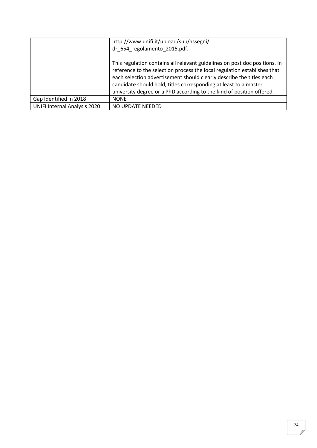|                                     | http://www.unifi.it/upload/sub/assegni/                                                                                                                                                                                                                                                                                                                                     |
|-------------------------------------|-----------------------------------------------------------------------------------------------------------------------------------------------------------------------------------------------------------------------------------------------------------------------------------------------------------------------------------------------------------------------------|
|                                     | dr_654_regolamento_2015.pdf.                                                                                                                                                                                                                                                                                                                                                |
|                                     | This regulation contains all relevant guidelines on post doc positions. In<br>reference to the selection process the local regulation establishes that<br>each selection advertisement should clearly describe the titles each<br>candidate should hold, titles corresponding at least to a master<br>university degree or a PhD according to the kind of position offered. |
| Gap Identified in 2018              | <b>NONE</b>                                                                                                                                                                                                                                                                                                                                                                 |
| <b>UNIFI Internal Analysis 2020</b> | NO UPDATE NEEDED                                                                                                                                                                                                                                                                                                                                                            |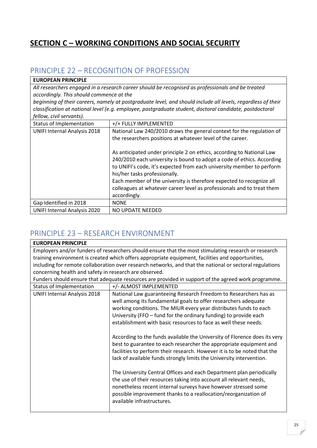# <span id="page-25-0"></span>**SECTION C – WORKING CONDITIONS AND SOCIAL SECURITY**

### <span id="page-25-1"></span>PRINCIPLE 22 – RECOGNITION OF PROFESSION

| <b>EUROPEAN PRINCIPLE</b>                |                                                                                                                                                                                                                                                                                                                                                                                                                             |
|------------------------------------------|-----------------------------------------------------------------------------------------------------------------------------------------------------------------------------------------------------------------------------------------------------------------------------------------------------------------------------------------------------------------------------------------------------------------------------|
|                                          | All researchers engaged in a research career should be recognised as professionals and be treated                                                                                                                                                                                                                                                                                                                           |
| accordingly. This should commence at the |                                                                                                                                                                                                                                                                                                                                                                                                                             |
|                                          | beginning of their careers, namely at postgraduate level, and should include all levels, regardless of their                                                                                                                                                                                                                                                                                                                |
|                                          | classification at national level (e.g. employee, postgraduate student, doctoral candidate, postdoctoral                                                                                                                                                                                                                                                                                                                     |
| fellow, civil servants).                 |                                                                                                                                                                                                                                                                                                                                                                                                                             |
| Status of Implementation                 | +/+ FULLY IMPLEMENTED                                                                                                                                                                                                                                                                                                                                                                                                       |
| <b>UNIFI Internal Analysis 2018</b>      | National Law 240/2010 draws the general context for the regulation of<br>the researchers positions at whatever level of the career.                                                                                                                                                                                                                                                                                         |
|                                          | As anticipated under principle 2 on ethics, according to National Law<br>240/2010 each university is bound to adopt a code of ethics. According<br>to UNIFI's code, it's expected from each university member to perform<br>his/her tasks professionally.<br>Each member of the university is therefore expected to recognize all<br>colleagues at whatever career level as professionals and to treat them<br>accordingly. |
| Gap Identified in 2018                   | <b>NONE</b>                                                                                                                                                                                                                                                                                                                                                                                                                 |
| <b>UNIFI Internal Analysis 2020</b>      | NO UPDATE NEEDED                                                                                                                                                                                                                                                                                                                                                                                                            |

## <span id="page-25-2"></span>PRINCIPLE 23 – RESEARCH ENVIRONMENT

| <b>EUROPEAN PRINCIPLE</b>                              |                                                                                                          |
|--------------------------------------------------------|----------------------------------------------------------------------------------------------------------|
|                                                        | Employers and/or funders of researchers should ensure that the most stimulating research or research     |
|                                                        | training environment is created which offers appropriate equipment, facilities and opportunities,        |
|                                                        | including for remote collaboration over research networks, and that the national or sectoral regulations |
| concerning health and safety in research are observed. |                                                                                                          |
|                                                        | Funders should ensure that adequate resources are provided in support of the agreed work programme.      |
| Status of Implementation                               | +/- ALMOST IMPLEMENTED                                                                                   |
| <b>UNIFI Internal Analysis 2018</b>                    | National Law guaranteeing Research Freedom to Researchers has as                                         |
|                                                        | well among its fundamental goals to offer researchers adequate                                           |
|                                                        | working conditions. The MIUR every year distributes funds to each                                        |
|                                                        | University (FFO - fund for the ordinary funding) to provide each                                         |
|                                                        | establishment with basic resources to face as well these needs.                                          |
|                                                        | According to the funds available the University of Florence does its very                                |
|                                                        | best to guarantee to each researcher the appropriate equipment and                                       |
|                                                        | facilities to perform their research. However it is to be noted that the                                 |
|                                                        | lack of available funds strongly limits the University intervention.                                     |
|                                                        | The University Central Offices and each Department plan periodically                                     |
|                                                        | the use of their resources taking into account all relevant needs,                                       |
|                                                        | nonetheless recent internal surveys have however stressed some                                           |
|                                                        | possible improvement thanks to a reallocation/reorganization of                                          |
|                                                        | available infrastructures.                                                                               |
|                                                        |                                                                                                          |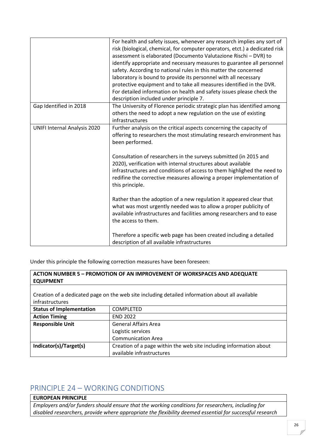|                                     | For health and safety issues, whenever any research implies any sort of<br>risk (biological, chemical, for computer operators, etct.) a dedicated risk<br>assessment is elaborated (Documento Valutazione Rischi - DVR) to<br>identify appropriate and necessary measures to guarantee all personnel<br>safety. According to national rules in this matter the concerned<br>laboratory is bound to provide its personnel with all necessary<br>protective equipment and to take all measures identified in the DVR.<br>For detailed information on health and safety issues please check the<br>description included under principle 7. |
|-------------------------------------|-----------------------------------------------------------------------------------------------------------------------------------------------------------------------------------------------------------------------------------------------------------------------------------------------------------------------------------------------------------------------------------------------------------------------------------------------------------------------------------------------------------------------------------------------------------------------------------------------------------------------------------------|
| Gap Identified in 2018              | The University of Florence periodic strategic plan has identified among<br>others the need to adopt a new regulation on the use of existing<br>infrastructures                                                                                                                                                                                                                                                                                                                                                                                                                                                                          |
| <b>UNIFI Internal Analysis 2020</b> | Further analysis on the critical aspects concerning the capacity of<br>offering to researchers the most stimulating research environment has<br>been performed.<br>Consultation of researchers in the surveys submitted (in 2015 and<br>2020), verification with internal structures about available<br>infrastructures and conditions of access to them highlighed the need to<br>redifine the corrective measures allowing a proper implementation of<br>this principle.                                                                                                                                                              |
|                                     | Rather than the adoption of a new regulation it appeared clear that<br>what was most urgently needed was to allow a proper publicity of<br>available infrastructures and facilities among researchers and to ease<br>the access to them.<br>Therefore a specific web page has been created including a detailed<br>description of all available infrastructures                                                                                                                                                                                                                                                                         |

Under this principle the following correction measures have been foreseen:

| ACTION NUMBER 5 - PROMOTION OF AN IMPROVEMENT OF WORKSPACES AND ADEQUATE |                                                                                                 |
|--------------------------------------------------------------------------|-------------------------------------------------------------------------------------------------|
| <b>EQUIPMENT</b>                                                         |                                                                                                 |
|                                                                          |                                                                                                 |
|                                                                          | Creation of a dedicated page on the web site including detailed information about all available |
| infrastructures                                                          |                                                                                                 |
| <b>Status of Implementation</b>                                          | <b>COMPLETED</b>                                                                                |
| <b>Action Timing</b>                                                     | <b>END 2022</b>                                                                                 |
| <b>Responsible Unit</b>                                                  | <b>General Affairs Area</b>                                                                     |
|                                                                          | Logistic services                                                                               |
|                                                                          | <b>Communication Area</b>                                                                       |
| Indicator(s)/Target(s)                                                   | Creation of a page within the web site including information about                              |
|                                                                          | available infrastructures                                                                       |

## <span id="page-26-0"></span>PRINCIPLE 24 – WORKING CONDITIONS

### **EUROPEAN PRINCIPLE**

*Employers and/or funders should ensure that the working conditions for researchers, including for disabled researchers, provide where appropriate the flexibility deemed essential for successful research*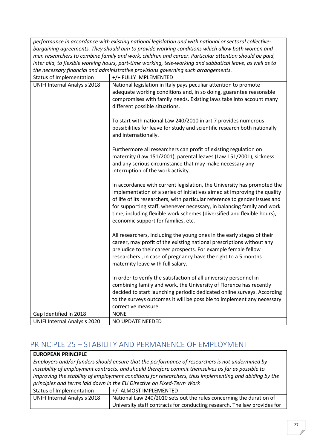*performance in accordance with existing national legislation and with national or sectoral collectivebargaining agreements. They should aim to provide working conditions which allow both women and men researchers to combine family and work, children and career. Particular attention should be paid, inter alia, to flexible working hours, part-time working, tele-working and sabbatical leave, as well as to the necessary financial and administrative provisions governing such arrangements.*

| Status of Implementation            | +/+ FULLY IMPLEMENTED                                                                                                                    |
|-------------------------------------|------------------------------------------------------------------------------------------------------------------------------------------|
| <b>UNIFI Internal Analysis 2018</b> | National legislation in Italy pays peculiar attention to promote                                                                         |
|                                     | adequate working conditions and, in so doing, guarantee reasonable                                                                       |
|                                     | compromises with family needs. Existing laws take into account many                                                                      |
|                                     | different possible situations.                                                                                                           |
|                                     |                                                                                                                                          |
|                                     | To start with national Law 240/2010 in art.7 provides numerous                                                                           |
|                                     | possibilities for leave for study and scientific research both nationally                                                                |
|                                     | and internationally.                                                                                                                     |
|                                     |                                                                                                                                          |
|                                     | Furthermore all researchers can profit of existing regulation on                                                                         |
|                                     | maternity (Law 151/2001), parental leaves (Law 151/2001), sickness<br>and any serious circumstance that may make necessary any           |
|                                     | interruption of the work activity.                                                                                                       |
|                                     |                                                                                                                                          |
|                                     | In accordance with current legislation, the University has promoted the                                                                  |
|                                     | implementation of a series of initiatives aimed at improving the quality                                                                 |
|                                     | of life of its researchers, with particular reference to gender issues and                                                               |
|                                     | for supporting staff, whenever necessary, in balancing family and work                                                                   |
|                                     | time, including flexible work schemes (diversified and flexible hours),                                                                  |
|                                     | economic support for families, etc.                                                                                                      |
|                                     |                                                                                                                                          |
|                                     | All researchers, including the young ones in the early stages of their                                                                   |
|                                     | career, may profit of the existing national prescriptions without any                                                                    |
|                                     | prejudice to their career prospects. For example female fellow                                                                           |
|                                     | researchers, in case of pregnancy have the right to a 5 months                                                                           |
|                                     | maternity leave with full salary.                                                                                                        |
|                                     |                                                                                                                                          |
|                                     | In order to verify the satisfaction of all university personnel in<br>combining family and work, the University of Florence has recently |
|                                     | decided to start launching periodic dedicated online surveys. According                                                                  |
|                                     | to the surveys outcomes it will be possible to implement any necessary                                                                   |
|                                     | corrective measure.                                                                                                                      |
| Gap Identified in 2018              | <b>NONE</b>                                                                                                                              |
| <b>UNIFI Internal Analysis 2020</b> | NO UPDATE NEEDED                                                                                                                         |
|                                     |                                                                                                                                          |

### <span id="page-27-0"></span>PRINCIPLE 25 – STABILITY AND PERMANENCE OF EMPLOYMENT

| <b>EUROPEAN PRINCIPLE</b>                                             |                                                                                                        |
|-----------------------------------------------------------------------|--------------------------------------------------------------------------------------------------------|
|                                                                       | Employers and/or funders should ensure that the performance of researchers is not undermined by        |
|                                                                       | instability of employment contracts, and should therefore commit themselves as far as possible to      |
|                                                                       | improving the stability of employment conditions for researchers, thus implementing and abiding by the |
| principles and terms laid down in the EU Directive on Fixed-Term Work |                                                                                                        |
| Status of Implementation                                              | +/- ALMOST IMPLEMENTED                                                                                 |
| <b>UNIFI Internal Analysis 2018</b>                                   | National Law 240/2010 sets out the rules concerning the duration of                                    |
|                                                                       | University staff contracts for conducting research. The law provides for                               |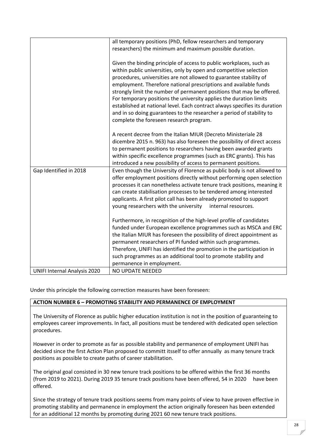|                                     | all temporary positions (PhD, fellow researchers and temporary<br>researchers) the minimum and maximum possible duration.                                                                                                                                                                                                                                                                                                                                                                                                                                                                                                            |
|-------------------------------------|--------------------------------------------------------------------------------------------------------------------------------------------------------------------------------------------------------------------------------------------------------------------------------------------------------------------------------------------------------------------------------------------------------------------------------------------------------------------------------------------------------------------------------------------------------------------------------------------------------------------------------------|
|                                     | Given the binding principle of access to public workplaces, such as<br>within public universities, only by open and competitive selection<br>procedures, universities are not allowed to guarantee stability of<br>employment. Therefore national prescriptions and available funds<br>strongly limit the number of permanent positions that may be offered.<br>For temporary positions the university applies the duration limits<br>established at national level. Each contract always specifies its duration<br>and in so doing guarantees to the researcher a period of stability to<br>complete the foreseen research program. |
|                                     | A recent decree from the Italian MIUR (Decreto Ministeriale 28<br>dicembre 2015 n. 963) has also foreseen the possibility of direct access<br>to permanent positions to researchers having been awarded grants<br>within specific excellence programmes (such as ERC grants). This has<br>introduced a new possibility of access to permanent positions.                                                                                                                                                                                                                                                                             |
| Gap Identified in 2018              | Even though the University of Florence as public body is not allowed to<br>offer employment positions directly without performing open selection<br>processes it can nonetheless activate tenure track positions, meaning it<br>can create stabilisation processes to be tendered among interested<br>applicants. A first pilot call has been already promoted to support<br>young researchers with the university<br>internal resources.                                                                                                                                                                                            |
|                                     | Furthermore, in recognition of the high-level profile of candidates<br>funded under European excellence programmes such as MSCA and ERC<br>the Italian MIUR has foreseen the possibility of direct appointment as<br>permanent researchers of PI funded within such programmes.<br>Therefore, UNIFI has identified the promotion in the participation in<br>such programmes as an additional tool to promote stability and<br>permanence in employment.                                                                                                                                                                              |
| <b>UNIFI Internal Analysis 2020</b> | <b>NO UPDATE NEEDED</b>                                                                                                                                                                                                                                                                                                                                                                                                                                                                                                                                                                                                              |

Under this principle the following correction measures have been foreseen:

### **ACTION NUMBER 6 – PROMOTING STABILITY AND PERMANENCE OF EMPLOYMENT**

The University of Florence as public higher education institution is not in the position of guaranteing to employees career improvements. In fact, all positions must be tendered with dedicated open selection procedures.

However in order to promote as far as possible stability and permanence of employment UNIFI has decided since the first Action Plan proposed to committ itsself to offer annually as many tenure track positions as possible to create paths of career stabilitation.

The original goal consisted in 30 new tenure track positions to be offered within the first 36 months (from 2019 to 2021). During 2019 35 tenure track positions have been offered, 54 in 2020 have been offered.

Since the strategy of tenure track positions seems from many points of view to have proven effective in promoting stability and permanence in employment the action originally foreseen has been extended for an additional 12 months by promoting during 2021 60 new tenure track positions.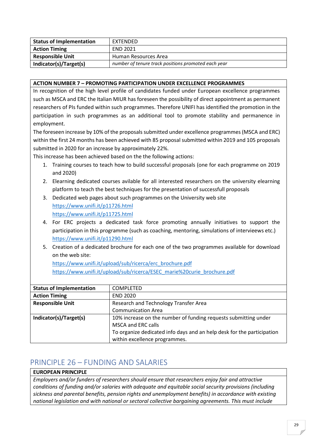| <b>Status of Implementation</b> | EXTENDED                                            |
|---------------------------------|-----------------------------------------------------|
| <b>Action Timing</b>            | <b>END 2021</b>                                     |
| <b>Responsible Unit</b>         | Human Resources Area                                |
| Indicator(s)/Target(s)          | number of tenure track positions promoted each year |

#### **ACTION NUMBER 7 – PROMOTING PARTICIPATION UNDER EXCELLENCE PROGRAMMES**

In recognition of the high level profile of candidates funded under European excellence programmes such as MSCA and ERC the Italian MIUR has foreseen the possibility of direct appointment as permanent researchers of PIs funded within such programmes. Therefore UNIFI has identified the promotion in the participation in such programmes as an additional tool to promote stability and permanence in employment.

The foreseen increase by 10% of the proposals submitted under excellence programmes (MSCA and ERC) within the first 24 months has been achieved with 85 proposal submitted within 2019 and 105 proposals submitted in 2020 for an increase by approximately 22%.

This increase has been achieved based on the the following actions:

- 1. Training courses to teach how to build successful proposals (one for each programme on 2019 and 2020)
- 2. Elearning dedicated courses avilable for all interested researchers on the university elearning platform to teach the best techniques for the presentation of successfull proposals
- 3. Dedicated web pages about such programmes on the University web site <https://www.unifi.it/p11726.html> <https://www.unifi.it/p11725.html>
- 4. For ERC projects a dedicated task force promoting annually initiatives to support the participation in this programme (such as coaching, mentoring, simulations of intervieews etc.) <https://www.unifi.it/p11290.html>
- 5. Creation of a dedicated brochure for each one of the two programmes available for download on the web site:

[https://www.unifi.it/upload/sub/ricerca/erc\\_brochure.pdf](https://www.unifi.it/upload/sub/ricerca/erc_brochure.pdf) [https://www.unifi.it/upload/sub/ricerca/ESEC\\_marie%20curie\\_brochure.pdf](https://www.unifi.it/upload/sub/ricerca/ESEC_marie%20curie_brochure.pdf)

| <b>Status of Implementation</b> | <b>COMPLETED</b>                                                       |
|---------------------------------|------------------------------------------------------------------------|
| <b>Action Timing</b>            | <b>END 2020</b>                                                        |
| <b>Responsible Unit</b>         | Research and Technology Transfer Area                                  |
|                                 | <b>Communication Area</b>                                              |
| Indicator(s)/Target(s)          | 10% increase on the number of funding requests submitting under        |
|                                 | <b>MSCA and ERC calls</b>                                              |
|                                 | To organize dedicated info days and an help desk for the participation |
|                                 | within excellence programmes.                                          |

### <span id="page-29-0"></span>PRINCIPLE 26 – FUNDING AND SALARIES

#### **EUROPEAN PRINCIPLE**

*Employers and/or funders of researchers should ensure that researchers enjoy fair and attractive conditions of funding and/or salaries with adequate and equitable social security provisions (including sickness and parental benefits, pension rights and unemployment benefits) in accordance with existing national legislation and with national or sectoral collective bargaining agreements. This must include*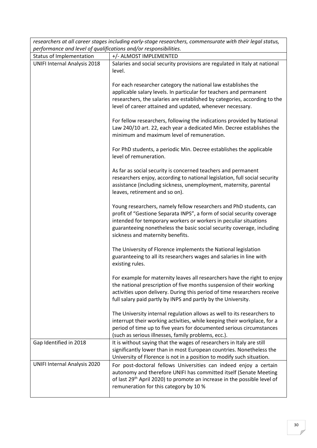| researchers at all career stages including early-stage researchers, commensurate with their legal status, |                                                                                                                                                                                                                                                                                                                                |
|-----------------------------------------------------------------------------------------------------------|--------------------------------------------------------------------------------------------------------------------------------------------------------------------------------------------------------------------------------------------------------------------------------------------------------------------------------|
| performance and level of qualifications and/or responsibilities.                                          |                                                                                                                                                                                                                                                                                                                                |
| Status of Implementation                                                                                  | +/- ALMOST IMPLEMENTED                                                                                                                                                                                                                                                                                                         |
| <b>UNIFI Internal Analysis 2018</b>                                                                       | Salaries and social security provisions are regulated in Italy at national<br>level.                                                                                                                                                                                                                                           |
|                                                                                                           | For each researcher category the national law establishes the<br>applicable salary levels. In particular for teachers and permanent<br>researchers, the salaries are established by categories, according to the<br>level of career attained and updated, whenever necessary.                                                  |
|                                                                                                           | For fellow researchers, following the indications provided by National<br>Law 240/10 art. 22, each year a dedicated Min. Decree establishes the<br>minimum and maximum level of remuneration.                                                                                                                                  |
|                                                                                                           | For PhD students, a periodic Min. Decree establishes the applicable<br>level of remuneration.                                                                                                                                                                                                                                  |
|                                                                                                           | As far as social security is concerned teachers and permanent<br>researchers enjoy, according to national legislation, full social security<br>assistance (including sickness, unemployment, maternity, parental<br>leaves, retirement and so on).                                                                             |
|                                                                                                           | Young researchers, namely fellow researchers and PhD students, can<br>profit of "Gestione Separata INPS", a form of social security coverage<br>intended for temporary workers or workers in peculiar situations<br>guaranteeing nonetheless the basic social security coverage, including<br>sickness and maternity benefits. |
|                                                                                                           | The University of Florence implements the National legislation<br>guaranteeing to all its researchers wages and salaries in line with<br>existing rules.                                                                                                                                                                       |
|                                                                                                           | For example for maternity leaves all researchers have the right to enjoy<br>the national prescription of five months suspension of their working<br>activities upon delivery. During this period of time researchers receive<br>full salary paid partly by INPS and partly by the University.                                  |
|                                                                                                           | The University internal regulation allows as well to its researchers to<br>interrupt their working activities, while keeping their workplace, for a<br>period of time up to five years for documented serious circumstances<br>(such as serious illnesses, family problems, ecc.).                                             |
| Gap Identified in 2018                                                                                    | It is without saying that the wages of researchers in Italy are still<br>significantly lower than in most European countries. Nonetheless the<br>University of Florence is not in a position to modify such situation.                                                                                                         |
| <b>UNIFI Internal Analysis 2020</b>                                                                       | For post-doctoral fellows Universities can indeed enjoy a certain<br>autonomy and therefore UNIFI has committed itself (Senate Meeting<br>of last 29 <sup>th</sup> April 2020) to promote an increase in the possible level of<br>remuneration for this category by 10 %                                                       |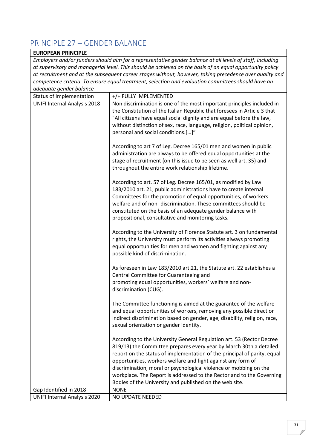# <span id="page-31-0"></span>PRINCIPLE 27 – GENDER BALANCE

| <b>EUROPEAN PRINCIPLE</b>                                                                                 |                                                                                                                                                                                                                                                                                                                                                                                                                                                                                                  |
|-----------------------------------------------------------------------------------------------------------|--------------------------------------------------------------------------------------------------------------------------------------------------------------------------------------------------------------------------------------------------------------------------------------------------------------------------------------------------------------------------------------------------------------------------------------------------------------------------------------------------|
| Employers and/or funders should aim for a representative gender balance at all levels of staff, including |                                                                                                                                                                                                                                                                                                                                                                                                                                                                                                  |
| at supervisory and managerial level. This should be achieved on the basis of an equal opportunity policy  |                                                                                                                                                                                                                                                                                                                                                                                                                                                                                                  |
| at recruitment and at the subsequent career stages without, however, taking precedence over quality and   |                                                                                                                                                                                                                                                                                                                                                                                                                                                                                                  |
| competence criteria. To ensure equal treatment, selection and evaluation committees should have an        |                                                                                                                                                                                                                                                                                                                                                                                                                                                                                                  |
| adequate gender balance                                                                                   |                                                                                                                                                                                                                                                                                                                                                                                                                                                                                                  |
| Status of Implementation                                                                                  | +/+ FULLY IMPLEMENTED                                                                                                                                                                                                                                                                                                                                                                                                                                                                            |
| <b>UNIFI Internal Analysis 2018</b>                                                                       | Non discrimination is one of the most important principles included in<br>the Constitution of the Italian Republic that foresees in Article 3 that<br>"All citizens have equal social dignity and are equal before the law,<br>without distinction of sex, race, language, religion, political opinion,<br>personal and social conditions.[]"                                                                                                                                                    |
|                                                                                                           | According to art 7 of Leg. Decree 165/01 men and women in public<br>administration are always to be offered equal opportunities at the<br>stage of recruitment (on this issue to be seen as well art. 35) and<br>throughout the entire work relationship lifetime.                                                                                                                                                                                                                               |
|                                                                                                           | According to art. 57 of Leg. Decree 165/01, as modified by Law<br>183/2010 art. 21, public administrations have to create internal<br>Committees for the promotion of equal opportunities, of workers<br>welfare and of non-discrimination. These committees should be<br>constituted on the basis of an adequate gender balance with<br>propositional, consultative and monitoring tasks.                                                                                                       |
|                                                                                                           | According to the University of Florence Statute art. 3 on fundamental<br>rights, the University must perform its activities always promoting<br>equal opportunities for men and women and fighting against any<br>possible kind of discrimination.                                                                                                                                                                                                                                               |
|                                                                                                           | As foreseen in Law 183/2010 art.21, the Statute art. 22 establishes a<br>Central Committee for Guaranteeing and<br>promoting equal opportunities, workers' welfare and non-<br>discrimination (CUG).                                                                                                                                                                                                                                                                                             |
|                                                                                                           | The Committee functioning is aimed at the guarantee of the welfare<br>and equal opportunities of workers, removing any possible direct or<br>indirect discrimination based on gender, age, disability, religion, race,<br>sexual orientation or gender identity.                                                                                                                                                                                                                                 |
|                                                                                                           | According to the University General Regulation art. 53 (Rector Decree<br>819/13) the Committee prepares every year by March 30th a detailed<br>report on the status of implementation of the principal of parity, equal<br>opportunities, workers welfare and fight against any form of<br>discrimination, moral or psychological violence or mobbing on the<br>workplace. The Report is addressed to the Rector and to the Governing<br>Bodies of the University and published on the web site. |
| Gap Identified in 2018                                                                                    | <b>NONE</b>                                                                                                                                                                                                                                                                                                                                                                                                                                                                                      |
| <b>UNIFI Internal Analysis 2020</b>                                                                       | NO UPDATE NEEDED                                                                                                                                                                                                                                                                                                                                                                                                                                                                                 |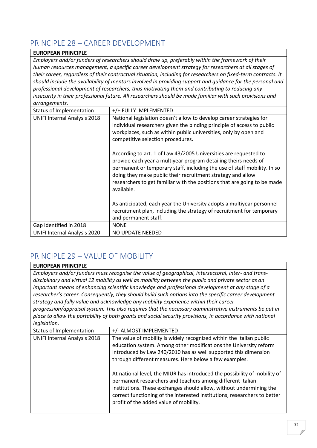# <span id="page-32-0"></span>PRINCIPLE 28 – CAREER DEVELOPMENT

#### **EUROPEAN PRINCIPLE**

*Employers and/or funders of researchers should draw up, preferably within the framework of their human resources management, a specific career development strategy for researchers at all stages of their career, regardless of their contractual situation, including for researchers on fixed-term contracts. It should include the availability of mentors involved in providing support and guidance for the personal and professional development of researchers, thus motivating them and contributing to reducing any insecurity in their professional future. All researchers should be made familiar with such provisions and arrangements.*

| Status of Implementation            | +/+ FULLY IMPLEMENTED                                                                                                                                                                                                                                                                                                                                                    |
|-------------------------------------|--------------------------------------------------------------------------------------------------------------------------------------------------------------------------------------------------------------------------------------------------------------------------------------------------------------------------------------------------------------------------|
| <b>UNIFI Internal Analysis 2018</b> | National legislation doesn't allow to develop career strategies for<br>individual researchers given the binding principle of access to public<br>workplaces, such as within public universities, only by open and<br>competitive selection procedures.                                                                                                                   |
|                                     | According to art. 1 of Law 43/2005 Universities are requested to<br>provide each year a multiyear program detailing theirs needs of<br>permanent or temporary staff, including the use of staff mobility. In so<br>doing they make public their recruitment strategy and allow<br>researchers to get familiar with the positions that are going to be made<br>available. |
|                                     | As anticipated, each year the University adopts a multiyear personnel<br>recruitment plan, including the strategy of recruitment for temporary<br>and permanent staff.                                                                                                                                                                                                   |
| Gap Identified in 2018              | <b>NONE</b>                                                                                                                                                                                                                                                                                                                                                              |
| <b>UNIFI Internal Analysis 2020</b> | NO UPDATE NEEDED                                                                                                                                                                                                                                                                                                                                                         |

## <span id="page-32-1"></span>PRINCIPLE 29 – VALUE OF MOBILITY

#### **EUROPEAN PRINCIPLE**

*Employers and/or funders must recognise the value of geographical, intersectoral, inter- and transdisciplinary and virtual 12 mobility as well as mobility between the public and private sector as an important means of enhancing scientific knowledge and professional development at any stage of a researcher's career. Consequently, they should build such options into the specific career development strategy and fully value and acknowledge any mobility experience within their career progression/appraisal system. This also requires that the necessary administrative instruments be put in*

*place to allow the portability of both grants and social security provisions, in accordance with national legislation.*

| Status of Implementation            | +/- ALMOST IMPLEMENTED                                                                                                                                                                                                                                                                                                                |
|-------------------------------------|---------------------------------------------------------------------------------------------------------------------------------------------------------------------------------------------------------------------------------------------------------------------------------------------------------------------------------------|
| <b>UNIFI Internal Analysis 2018</b> | The value of mobility is widely recognized within the Italian public<br>education system. Among other modifications the University reform<br>introduced by Law 240/2010 has as well supported this dimension<br>through different measures. Here below a few examples.                                                                |
|                                     | At national level, the MIUR has introduced the possibility of mobility of<br>permanent researchers and teachers among different Italian<br>institutions. These exchanges should allow, without undermining the<br>correct functioning of the interested institutions, researchers to better<br>profit of the added value of mobility. |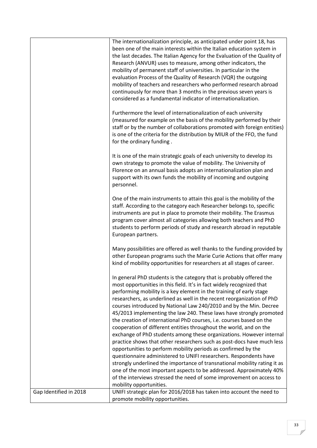|                        | The internationalization principle, as anticipated under point 18, has<br>been one of the main interests within the Italian education system in<br>the last decades. The Italian Agency for the Evaluation of the Quality of<br>Research (ANVUR) uses to measure, among other indicators, the<br>mobility of permanent staff of universities. In particular in the<br>evaluation Process of the Quality of Research (VQR) the outgoing<br>mobility of teachers and researchers who performed research abroad        |
|------------------------|---------------------------------------------------------------------------------------------------------------------------------------------------------------------------------------------------------------------------------------------------------------------------------------------------------------------------------------------------------------------------------------------------------------------------------------------------------------------------------------------------------------------|
|                        | continuously for more than 3 months in the previous seven years is<br>considered as a fundamental indicator of internationalization.                                                                                                                                                                                                                                                                                                                                                                                |
|                        | Furthermore the level of internationalization of each university<br>(measured for example on the basis of the mobility performed by their<br>staff or by the number of collaborations promoted with foreign entities)<br>is one of the criteria for the distribution by MIUR of the FFO, the fund<br>for the ordinary funding.                                                                                                                                                                                      |
|                        | It is one of the main strategic goals of each university to develop its<br>own strategy to promote the value of mobility. The University of<br>Florence on an annual basis adopts an internationalization plan and<br>support with its own funds the mobility of incoming and outgoing<br>personnel.                                                                                                                                                                                                                |
|                        | One of the main instruments to attain this goal is the mobility of the<br>staff. According to the category each Researcher belongs to, specific<br>instruments are put in place to promote their mobility. The Erasmus<br>program cover almost all categories allowing both teachers and PhD<br>students to perform periods of study and research abroad in reputable<br>European partners.                                                                                                                         |
|                        | Many possibilities are offered as well thanks to the funding provided by<br>other European programs such the Marie Curie Actions that offer many<br>kind of mobility opportunities for researchers at all stages of career.                                                                                                                                                                                                                                                                                         |
|                        | In general PhD students is the category that is probably offered the<br>most opportunities in this field. It's in fact widely recognized that<br>performing mobility is a key element in the training of early stage<br>researchers, as underlined as well in the recent reorganization of PhD<br>courses introduced by National Law 240/2010 and by the Min. Decree<br>45/2013 implementing the law 240. These laws have strongly promoted<br>the creation of international PhD courses, i.e. courses based on the |
|                        | cooperation of different entities throughout the world, and on the<br>exchange of PhD students among these organizations. However internal<br>practice shows that other researchers such as post-docs have much less                                                                                                                                                                                                                                                                                                |
|                        | opportunities to perform mobility periods as confirmed by the<br>questionnaire administered to UNIFI researchers. Respondents have                                                                                                                                                                                                                                                                                                                                                                                  |
|                        | strongly underlined the importance of transnational mobility rating it as<br>one of the most important aspects to be addressed. Approximately 40%                                                                                                                                                                                                                                                                                                                                                                   |
|                        | of the interviews stressed the need of some improvement on access to<br>mobility opportunities.                                                                                                                                                                                                                                                                                                                                                                                                                     |
|                        |                                                                                                                                                                                                                                                                                                                                                                                                                                                                                                                     |
| Gap Identified in 2018 | UNIFI strategic plan for 2016/2018 has taken into account the need to<br>promote mobility opportunities.                                                                                                                                                                                                                                                                                                                                                                                                            |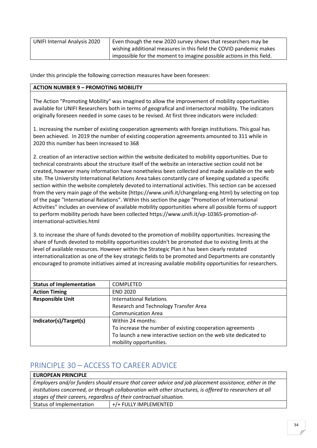| <b>UNIFI Internal Analysis 2020</b> | Even though the new 2020 survey shows that researchers may be          |
|-------------------------------------|------------------------------------------------------------------------|
|                                     | wishing additional measures in this field the COVID pandemic makes     |
|                                     | i impossible for the moment to imagine possible actions in this field. |

Under this principle the following correction measures have been foreseen:

#### **ACTION NUMBER 9 – PROMOTING MOBILITY**

The Action "Promoting Mobility" was imagined to allow the improvement of mobility opportunities available for UNIFI Researchers both in terms of geografical and intersectoral mobility. The indicators originally foreseen needed in some cases to be revised. At first three indicators were included:

1. increasing the number of existing cooperation agreements with foreign institutions. This goal has been achieved. In 2019 the number of existing cooperation agreements amounted to 311 while in 2020 this number has been increased to 368

2. creation of an interactive section within the website dedicated to mobility opportunities. Due to technical constraints about the structure itself of the website an interactive section could not be created, however many information have nonetheless been collected and made available on the web site. The University International Relations Area takes constantly care of keeping updated a specific section within the website completely devoted to international activities. This section can be accessed from the very main page of the website (https://www.unifi.it/changelang-eng.html) by selecting on top of the page "International Relations". Within this section the page "Promotion of International Activities" includes an overview of available mobility opportunities where all possible forms of support to perform mobility periods have been collected https://www.unifi.it/vp-10365-promotion-ofinternational-activities.html

3. to increase the share of funds devoted to the promotion of mobility opportunities. Increasing the share of funds devoted to mobility opportunities couldn't be promoted due to existing limits at the level of available resources. However within the Strategic Plan it has been clearly restated internationalization as one of the key strategic fields to be promoted and Departments are constantly encouraged to promote initiatives aimed at increasing available mobility opportunities for researchers.

| <b>Status of Implementation</b> | <b>COMPLETED</b>                                                 |
|---------------------------------|------------------------------------------------------------------|
| <b>Action Timing</b>            | <b>END 2020</b>                                                  |
| <b>Responsible Unit</b>         | <b>International Relations</b>                                   |
|                                 | Research and Technology Transfer Area                            |
|                                 | <b>Communication Area</b>                                        |
| Indicator(s)/Target(s)          | Within 24 months:                                                |
|                                 | To increase the number of existing cooperation agreements        |
|                                 | To launch a new interactive section on the web site dedicated to |
|                                 | mobility opportunities.                                          |

### <span id="page-34-0"></span>PRINCIPLE 30 – ACCESS TO CAREER ADVICE

| <b>EUROPEAN PRINCIPLE</b>                                                                                |                       |  |
|----------------------------------------------------------------------------------------------------------|-----------------------|--|
| Employers and/or funders should ensure that career advice and job placement assistance, either in the    |                       |  |
| institutions concerned, or through collaboration with other structures, is offered to researchers at all |                       |  |
| stages of their careers, regardless of their contractual situation.                                      |                       |  |
| Status of Implementation                                                                                 | +/+ FULLY IMPLEMENTED |  |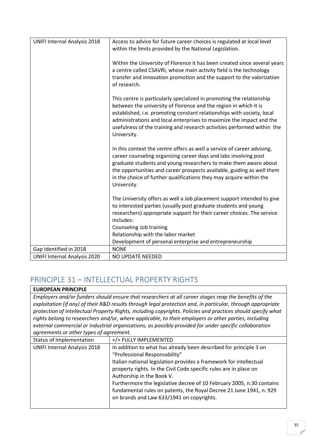| <b>UNIFI Internal Analysis 2018</b> | Access to advice for future career choices is regulated at local level<br>within the limits provided by the National Legislation.                                                                                                                                                                                                                                                     |
|-------------------------------------|---------------------------------------------------------------------------------------------------------------------------------------------------------------------------------------------------------------------------------------------------------------------------------------------------------------------------------------------------------------------------------------|
|                                     | Within the University of Florence it has been created since several years<br>a centre called CSAVRI, whose main activity field is the technology<br>transfer and innovation promotion and the support to the valorization<br>of research.                                                                                                                                             |
|                                     | This centre is particularly specialized in promoting the relationship<br>between the university of Florence and the region in which it is<br>established, i.e. promoting constant relationships with society, local<br>administrations and local enterprises to maximize the impact and the<br>usefulness of the training and research activities performed within the<br>University. |
|                                     | In this context the centre offers as well a service of career advising,<br>career counseling organizing career days and labs involving post<br>graduate students and young researchers to make them aware about<br>the opportunities and career prospects available, guiding as well them<br>in the choice of further qualifications they may acquire within the<br>University.       |
|                                     | The University offers as well a Job placement support intended to give<br>to interested parties (usually post graduate students and young<br>researchers) appropriate support for their career choices. The service<br>includes:                                                                                                                                                      |
|                                     | Counseling Job training                                                                                                                                                                                                                                                                                                                                                               |
|                                     | Relationship with the labor market<br>Development of personal enterprise and entrepreneurship                                                                                                                                                                                                                                                                                         |
| Gap Identified in 2018              | <b>NONE</b>                                                                                                                                                                                                                                                                                                                                                                           |
| <b>UNIFI Internal Analysis 2020</b> | <b>NO UPDATE NEEDED</b>                                                                                                                                                                                                                                                                                                                                                               |

### <span id="page-35-0"></span>PRINCIPLE 31 – INTELLECTUAL PROPERTY RIGHTS

**EUROPEAN PRINCIPLE** *Employers and/or funders should ensure that researchers at all career stages reap the benefits of the exploitation (if any) of their R&D results through legal protection and, in particular, through appropriate protection of Intellectual Property Rights, including copyrights. Policies and practices should specify what rights belong to researchers and/or, where applicable, to their employers or other parties, including external commercial or industrial organisations, as possibly provided for under specific collaboration agreements or other types of agreement.*

| Status of Implementation            | +/+ FULLY IMPLEMENTED                                                                                                                                                                                                                                                                                                                                                                                                                                                   |
|-------------------------------------|-------------------------------------------------------------------------------------------------------------------------------------------------------------------------------------------------------------------------------------------------------------------------------------------------------------------------------------------------------------------------------------------------------------------------------------------------------------------------|
| <b>UNIFI Internal Analysis 2018</b> | In addition to what has already been described for principle 3 on<br>"Professional Responsability"<br>Italian national legislation provides a framework for intellectual<br>property rights. In the Civil Code specific rules are in place on<br>Authorship in the Book V.<br>Furthermore the legislative decree of 10 February 2005, n.30 contains<br>fundamental rules on patents, the Royal Decree 21 June 1941, n. 929<br>on brands and Law 633/1941 on copyrights. |
|                                     |                                                                                                                                                                                                                                                                                                                                                                                                                                                                         |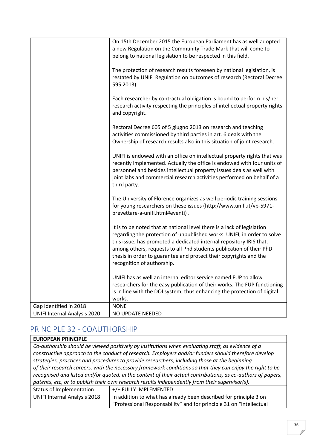|                                     | On 15th December 2015 the European Parliament has as well adopted<br>a new Regulation on the Community Trade Mark that will come to<br>belong to national legislation to be respected in this field.                                                                                                                                                                                                |
|-------------------------------------|-----------------------------------------------------------------------------------------------------------------------------------------------------------------------------------------------------------------------------------------------------------------------------------------------------------------------------------------------------------------------------------------------------|
|                                     | The protection of research results foreseen by national legislation, is<br>restated by UNIFI Regulation on outcomes of research (Rectoral Decree<br>595 2013).                                                                                                                                                                                                                                      |
|                                     | Each researcher by contractual obligation is bound to perform his/her<br>research activity respecting the principles of intellectual property rights<br>and copyright.                                                                                                                                                                                                                              |
|                                     | Rectoral Decree 605 of 5 giugno 2013 on research and teaching<br>activities commissioned by third parties in art. 6 deals with the<br>Ownership of research results also in this situation of joint research.                                                                                                                                                                                       |
|                                     | UNIFI is endowed with an office on intellectual property rights that was<br>recently implemented. Actually the office is endowed with four units of<br>personnel and besides intellectual property issues deals as well with<br>joint labs and commercial research activities performed on behalf of a<br>third party.                                                                              |
|                                     | The University of Florence organizes as well periodic training sessions<br>for young researchers on these issues (http://www.unifi.it/vp-5971-<br>brevettare-a-unifi.html#eventi).                                                                                                                                                                                                                  |
|                                     | It is to be noted that at national level there is a lack of legislation<br>regarding the protection of unpublished works. UNIFI, in order to solve<br>this issue, has promoted a dedicated internal repository IRIS that,<br>among others, requests to all Phd students publication of their PhD<br>thesis in order to guarantee and protect their copyrights and the<br>recognition of authorship. |
|                                     | UNIFI has as well an internal editor service named FUP to allow<br>researchers for the easy publication of their works. The FUP functioning<br>is in line with the DOI system, thus enhancing the protection of digital<br>works.                                                                                                                                                                   |
| Gap Identified in 2018              | <b>NONE</b>                                                                                                                                                                                                                                                                                                                                                                                         |
| <b>UNIFI Internal Analysis 2020</b> | NO UPDATE NEEDED                                                                                                                                                                                                                                                                                                                                                                                    |

### <span id="page-36-0"></span>PRINCIPLE 32 - COAUTHORSHIP

#### **EUROPEAN PRINCIPLE** *Co-authorship should be viewed positively by institutions when evaluating staff, as evidence of a constructive approach to the conduct of research. Employers and/or funders should therefore develop strategies, practices and procedures to provide researchers, including those at the beginning of their research careers, with the necessary framework conditions so that they can enjoy the right to be recognised and listed and/or quoted, in the context of their actual contributions, as co-authors of papers, patents, etc, or to publish their own research results independently from their supervisor(s).* Status of Implementation  $+/+$  FULLY IMPLEMENTED UNIFI Internal Analysis 2018  $\parallel$  In addition to what has already been described for principle 3 on "Professional Responsability" and for principle 31 on "Intellectual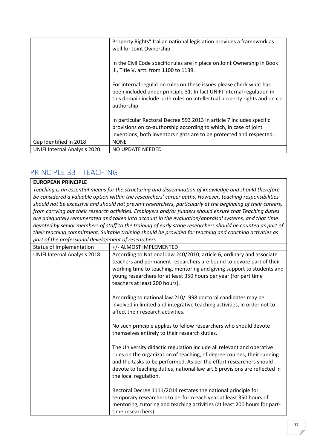|                                     | Property Rights" Italian national legislation provides a framework as<br>well for Joint Ownership.                                                                                                                                        |
|-------------------------------------|-------------------------------------------------------------------------------------------------------------------------------------------------------------------------------------------------------------------------------------------|
|                                     | In the Civil Code specific rules are in place on Joint Ownership in Book<br>III, Title V, artt. from 1100 to 1139.                                                                                                                        |
|                                     | For internal regulation rules on these issues please check what has<br>been included under principle 31. In fact UNIFI internal regulation in<br>this domain include both rules on intellectual property rights and on co-<br>authorship. |
|                                     | In particular Rectoral Decree 593 2013 in article 7 includes specific<br>provisions on co-authorship according to which, in case of joint<br>inventions, both inventors rights are to be protected and respected.                         |
| Gap Identified in 2018              | <b>NONE</b>                                                                                                                                                                                                                               |
| <b>UNIFI Internal Analysis 2020</b> | NO UPDATE NEEDED                                                                                                                                                                                                                          |

# <span id="page-37-0"></span>PRINCIPLE 33 - TEACHING

#### **EUROPEAN PRINCIPLE**

*Teaching is an essential means for the structuring and dissemination of knowledge and should therefore be considered a valuable option within the researchers' career paths. However, teaching responsibilities should not be excessive and should not prevent researchers, particularly at the beginning of their careers, from carrying out their research activities. Employers and/or funders should ensure that Teaching duties are adequately remunerated and taken into account in the evaluation/appraisal systems, and that time devoted by senior members of staff to the training of early stage researchers should be counted as part of their teaching commitment. Suitable training should be provided for teaching and coaching activities as part of the professional development of researchers.*

| Status of Implementation            | +/- ALMOST IMPLEMENTED                                                                                                                                                                                                                                                                                                        |
|-------------------------------------|-------------------------------------------------------------------------------------------------------------------------------------------------------------------------------------------------------------------------------------------------------------------------------------------------------------------------------|
| <b>UNIFI Internal Analysis 2018</b> | According to National Law 240/2010, article 6, ordinary and associate<br>teachers and permanent researchers are bound to devote part of their<br>working time to teaching, mentoring and giving support to students and<br>young researchers for at least 350 hours per year (for part time<br>teachers at least 200 hours).  |
|                                     | According to national law 210/1998 doctoral candidates may be<br>involved in limited and integrative teaching activities, in order not to<br>affect their research activities.                                                                                                                                                |
|                                     | No such principle applies to fellow researchers who should devote<br>themselves entirely to their research duties.                                                                                                                                                                                                            |
|                                     | The University didactic regulation include all relevant and operative<br>rules on the organization of teaching, of degree courses, their running<br>and the tasks to be performed. As per the effort researchers should<br>devote to teaching duties, national law art.6 provisions are reflected in<br>the local regulation. |
|                                     | Rectoral Decree 1111/2014 restates the national principle for<br>temporary researchers to perform each year at least 350 hours of<br>mentoring, tutoring and teaching activities (at least 200 hours for part-<br>time researchers).                                                                                          |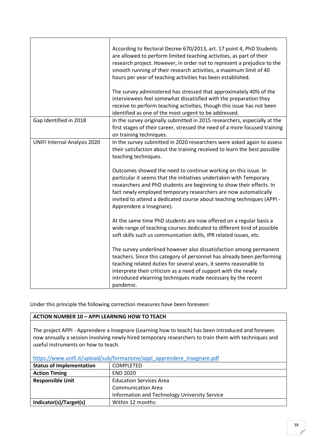|                                     | According to Rectoral Decree 670/2013, art. 17 point 4, PhD Students<br>are allowed to perform limited teaching activities, as part of their<br>research project. However, in order not to represent a prejudice to the<br>smooth running of their research activities, a maximum limit of 40<br>hours per year of teaching activities has been established.<br>The survey administered has stressed that approximately 40% of the<br>interviewees feel somewhat dissatisfied with the preparation they<br>receive to perform teaching activities, though this issue has not been<br>identified as one of the most urgent to be addressed. |
|-------------------------------------|--------------------------------------------------------------------------------------------------------------------------------------------------------------------------------------------------------------------------------------------------------------------------------------------------------------------------------------------------------------------------------------------------------------------------------------------------------------------------------------------------------------------------------------------------------------------------------------------------------------------------------------------|
| Gap Identified in 2018              | In the survey originally submitted in 2015 researchers, especially at the<br>first stages of their career, stressed the need of a more focused training<br>on training techniques.                                                                                                                                                                                                                                                                                                                                                                                                                                                         |
| <b>UNIFI Internal Analysis 2020</b> | In the survey submitted in 2020 researchers were asked again to assess<br>their satisfaction about the training received to learn the best possible<br>teaching techniques.<br>Outcomes showed the need to continue working on this issue. In<br>particular it seems that the initiatives undertaken with Temporary                                                                                                                                                                                                                                                                                                                        |
|                                     | researchers and PhD students are beginning to show their effects. In<br>fact newly employed temporary researchers are now automatically<br>invited to attend a dedicated course about teaching techniques (APPI -<br>Apprendere a Insegnare).                                                                                                                                                                                                                                                                                                                                                                                              |
|                                     | At the same time PhD students are now offered on a regular basis a<br>wide range of teaching courses dedicated to different kind of possible<br>soft skills such us communication skills, IPR related issues, etc.                                                                                                                                                                                                                                                                                                                                                                                                                         |
|                                     | The survey underlined however also dissatisfaction among permanent<br>teachers. Since this category of personnel has already been performing<br>teaching related duties for several years, it seems reasonable to<br>interprete their criticism as a need of support with the newly<br>introduced elearning techniques made necessary by the recent<br>pandemic.                                                                                                                                                                                                                                                                           |

Under this principle the following correction measures have been foreseen:

#### **ACTION NUMBER 10 – APPI LEARNING HOW TO TEACH**

The project APPI - Apprendere a Insegnare (Learning how to teach) has been introduced and foresees now annually a session involving newly hired temporary researchers to train them with techniques and useful instruments on how to teach.

| https://www.unifi.it/upload/sub/formazione/appl_apprendere_insegnare.pdf |                                               |
|--------------------------------------------------------------------------|-----------------------------------------------|
| <b>Status of Implementation</b>                                          | <b>COMPLETED</b>                              |
| <b>Action Timing</b>                                                     | <b>END 2020</b>                               |
| <b>Responsible Unit</b>                                                  | <b>Education Services Area</b>                |
|                                                                          | <b>Communication Area</b>                     |
|                                                                          | Information and Technology University Service |
| Indicator(s)/Target(s)                                                   | Within 12 months:                             |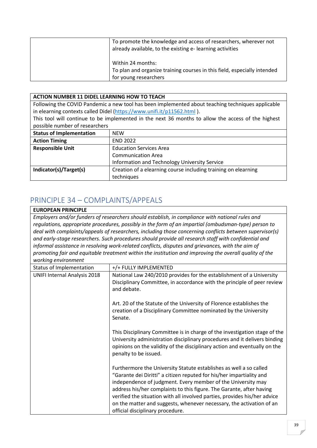| To promote the knowledge and access of researchers, wherever not<br>already available, to the existing e-learning activities |
|------------------------------------------------------------------------------------------------------------------------------|
| Within 24 months:<br>To plan and organize training courses in this field, especially intended                                |
| for young researchers                                                                                                        |

#### **ACTION NUMBER 11 DIDEL LEARNING HOW TO TEACH**

Following the COVID Pandemic a new tool has been implemented about teaching techniques applicable in elearning contexts called Didel [\(https://www.unifi.it/p11562.html](https://www.unifi.it/p11562.html) ).

This tool will continue to be implemented in the next 36 months to allow the access of the highest possible number of researchers

| <b>Status of Implementation</b> | <b>NFW</b>                                                     |
|---------------------------------|----------------------------------------------------------------|
| <b>Action Timing</b>            | <b>END 2022</b>                                                |
| <b>Responsible Unit</b>         | <b>Education Services Area</b>                                 |
|                                 | <b>Communication Area</b>                                      |
|                                 | Information and Technology University Service                  |
| Indicator(s)/Target(s)          | Creation of a elearning course including training on elearning |
|                                 | techniques                                                     |

### <span id="page-39-0"></span>PRINCIPLE 34 – COMPLAINTS/APPEALS

#### **EUROPEAN PRINCIPLE**

*Employers and/or funders of researchers should establish, in compliance with national rules and regulations, appropriate procedures, possibly in the form of an impartial (ombudsman-type) person to deal with complaints/appeals of researchers, including those concerning conflicts between supervisor(s) and early-stage researchers. Such procedures should provide all research staff with confidential and informal assistance in resolving work-related conflicts, disputes and grievances, with the aim of promoting fair and equitable treatment within the institution and improving the overall quality of the working environment*

| Status of Implementation            | +/+ FULLY IMPLEMENTED                                                                                                                                                                                                                                                                                                                                                                                                                                                       |
|-------------------------------------|-----------------------------------------------------------------------------------------------------------------------------------------------------------------------------------------------------------------------------------------------------------------------------------------------------------------------------------------------------------------------------------------------------------------------------------------------------------------------------|
| <b>UNIFI Internal Analysis 2018</b> | National Law 240/2010 provides for the establishment of a University<br>Disciplinary Committee, in accordance with the principle of peer review<br>and debate.                                                                                                                                                                                                                                                                                                              |
|                                     | Art. 20 of the Statute of the University of Florence establishes the<br>creation of a Disciplinary Committee nominated by the University<br>Senate.                                                                                                                                                                                                                                                                                                                         |
|                                     | This Disciplinary Committee is in charge of the investigation stage of the<br>University administration disciplinary procedures and it delivers binding<br>opinions on the validity of the disciplinary action and eventually on the<br>penalty to be issued.                                                                                                                                                                                                               |
|                                     | Furthermore the University Statute establishes as well a so called<br>"Garante dei Diritti" a citizen reputed for his/her impartiality and<br>independence of judgment. Every member of the University may<br>address his/her complaints to this figure. The Garante, after having<br>verified the situation with all involved parties, provides his/her advice<br>on the matter and suggests, whenever necessary, the activation of an<br>official disciplinary procedure. |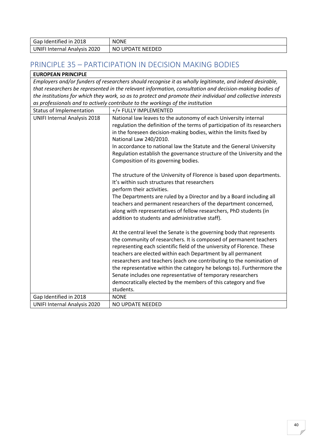| 2018<br>Gap<br>Identified in | <b>NONE</b>   |
|------------------------------|---------------|
| I Internal Analysis 2020     | <b>NEEDED</b> |
| UNIFI                        | NO UPDATE     |

# <span id="page-40-0"></span>PRINCIPLE 35 – PARTICIPATION IN DECISION MAKING BODIES

| <b>EUROPEAN PRINCIPLE</b>                                                                                    |                                                                                                         |
|--------------------------------------------------------------------------------------------------------------|---------------------------------------------------------------------------------------------------------|
|                                                                                                              | Employers and/or funders of researchers should recognise it as wholly legitimate, and indeed desirable, |
| that researchers be represented in the relevant information, consultation and decision-making bodies of      |                                                                                                         |
| the institutions for which they work, so as to protect and promote their individual and collective interests |                                                                                                         |
|                                                                                                              | as professionals and to actively contribute to the workings of the institution                          |
| Status of Implementation                                                                                     | +/+ FULLY IMPLEMENTED                                                                                   |
| <b>UNIFI Internal Analysis 2018</b>                                                                          | National law leaves to the autonomy of each University internal                                         |
|                                                                                                              | regulation the definition of the terms of participation of its researchers                              |
|                                                                                                              | in the foreseen decision-making bodies, within the limits fixed by                                      |
|                                                                                                              | National Law 240/2010.                                                                                  |
|                                                                                                              | In accordance to national law the Statute and the General University                                    |
|                                                                                                              | Regulation establish the governance structure of the University and the                                 |
|                                                                                                              | Composition of its governing bodies.                                                                    |
|                                                                                                              |                                                                                                         |
|                                                                                                              | The structure of the University of Florence is based upon departments.                                  |
|                                                                                                              | It's within such structures that researchers                                                            |
|                                                                                                              | perform their activities.                                                                               |
|                                                                                                              | The Departments are ruled by a Director and by a Board including all                                    |
|                                                                                                              | teachers and permanent researchers of the department concerned,                                         |
|                                                                                                              | along with representatives of fellow researchers, PhD students (in                                      |
|                                                                                                              | addition to students and administrative staff).                                                         |
|                                                                                                              |                                                                                                         |
|                                                                                                              | At the central level the Senate is the governing body that represents                                   |
|                                                                                                              | the community of researchers. It is composed of permanent teachers                                      |
|                                                                                                              | representing each scientific field of the university of Florence. These                                 |
|                                                                                                              | teachers are elected within each Department by all permanent                                            |
|                                                                                                              | researchers and teachers (each one contributing to the nomination of                                    |
|                                                                                                              | the representative within the category he belongs to). Furthermore the                                  |
|                                                                                                              | Senate includes one representative of temporary researchers                                             |
|                                                                                                              | democratically elected by the members of this category and five                                         |
|                                                                                                              | students.                                                                                               |
| Gap Identified in 2018                                                                                       | <b>NONE</b>                                                                                             |
| <b>UNIFI Internal Analysis 2020</b>                                                                          | NO UPDATE NEEDED                                                                                        |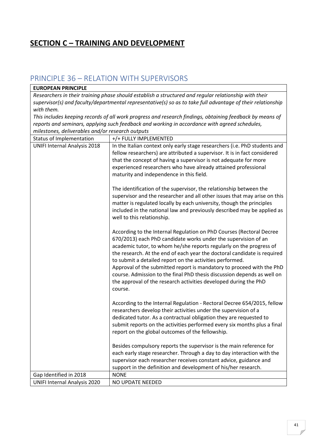# <span id="page-41-0"></span>**SECTION C – TRAINING AND DEVELOPMENT**

### <span id="page-41-1"></span>PRINCIPLE 36 – RELATION WITH SUPERVISORS

### **EUROPEAN PRINCIPLE**

*Researchers in their training phase should establish a structured and regular relationship with their supervisor(s) and faculty/departmental representative(s) so as to take full advantage of their relationship with them.*

*This includes keeping records of all work progress and research findings, obtaining feedback by means of reports and seminars, applying such feedback and working in accordance with agreed schedules, milestones, deliverables and/or research outputs*

| Status of Implementation            | +/+ FULLY IMPLEMENTED                                                                                                                                                                                                                                                                                                                                                                                                                                                                                                                                                                    |
|-------------------------------------|------------------------------------------------------------------------------------------------------------------------------------------------------------------------------------------------------------------------------------------------------------------------------------------------------------------------------------------------------------------------------------------------------------------------------------------------------------------------------------------------------------------------------------------------------------------------------------------|
| <b>UNIFI Internal Analysis 2018</b> | In the Italian context only early stage researchers (i.e. PhD students and<br>fellow researchers) are attributed a supervisor. It is in fact considered<br>that the concept of having a supervisor is not adequate for more<br>experienced researchers who have already attained professional<br>maturity and independence in this field.                                                                                                                                                                                                                                                |
|                                     | The identification of the supervisor, the relationship between the<br>supervisor and the researcher and all other issues that may arise on this<br>matter is regulated locally by each university, though the principles<br>included in the national law and previously described may be applied as<br>well to this relationship.                                                                                                                                                                                                                                                        |
|                                     | According to the Internal Regulation on PhD Courses (Rectoral Decree<br>670/2013) each PhD candidate works under the supervision of an<br>academic tutor, to whom he/she reports regularly on the progress of<br>the research. At the end of each year the doctoral candidate is required<br>to submit a detailed report on the activities performed.<br>Approval of the submitted report is mandatory to proceed with the PhD<br>course. Admission to the final PhD thesis discussion depends as well on<br>the approval of the research activities developed during the PhD<br>course. |
|                                     | According to the Internal Regulation - Rectoral Decree 654/2015, fellow<br>researchers develop their activities under the supervision of a<br>dedicated tutor. As a contractual obligation they are requested to<br>submit reports on the activities performed every six months plus a final<br>report on the global outcomes of the fellowship.                                                                                                                                                                                                                                         |
|                                     | Besides compulsory reports the supervisor is the main reference for<br>each early stage researcher. Through a day to day interaction with the<br>supervisor each researcher receives constant advice, guidance and<br>support in the definition and development of his/her research.                                                                                                                                                                                                                                                                                                     |
| Gap Identified in 2018              | <b>NONE</b>                                                                                                                                                                                                                                                                                                                                                                                                                                                                                                                                                                              |
| <b>UNIFI Internal Analysis 2020</b> | <b>NO UPDATE NEEDED</b>                                                                                                                                                                                                                                                                                                                                                                                                                                                                                                                                                                  |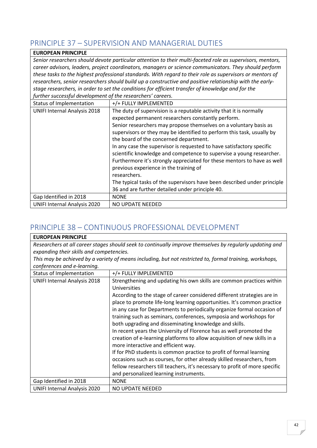# <span id="page-42-0"></span>PRINCIPLE 37 – SUPERVISION AND MANAGERIAL DUTIES

| <b>EUROPEAN PRINCIPLE</b>                                                                                  |                                                                          |  |
|------------------------------------------------------------------------------------------------------------|--------------------------------------------------------------------------|--|
| Senior researchers should devote particular attention to their multi-faceted role as supervisors, mentors, |                                                                          |  |
| career advisors, leaders, project coordinators, managers or science communicators. They should perform     |                                                                          |  |
| these tasks to the highest professional standards. With regard to their role as supervisors or mentors of  |                                                                          |  |
| researchers, senior researchers should build up a constructive and positive relationship with the early-   |                                                                          |  |
| stage researchers, in order to set the conditions for efficient transfer of knowledge and for the          |                                                                          |  |
| further successful development of the researchers' careers.                                                |                                                                          |  |
| Status of Implementation                                                                                   | +/+ FULLY IMPLEMENTED                                                    |  |
| <b>UNIFI Internal Analysis 2018</b>                                                                        | The duty of supervision is a reputable activity that it is normally      |  |
|                                                                                                            | expected permanent researchers constantly perform.                       |  |
|                                                                                                            | Senior researchers may propose themselves on a voluntary basis as        |  |
|                                                                                                            | supervisors or they may be identified to perform this task, usually by   |  |
|                                                                                                            | the board of the concerned department.                                   |  |
|                                                                                                            | In any case the supervisor is requested to have satisfactory specific    |  |
|                                                                                                            | scientific knowledge and competence to supervise a young researcher.     |  |
|                                                                                                            | Furthermore it's strongly appreciated for these mentors to have as well  |  |
|                                                                                                            | previous experience in the training of                                   |  |
|                                                                                                            | researchers.                                                             |  |
|                                                                                                            | The typical tasks of the supervisors have been described under principle |  |
|                                                                                                            | 36 and are further detailed under principle 40.                          |  |
| Gap Identified in 2018                                                                                     | <b>NONE</b>                                                              |  |
| <b>UNIFI Internal Analysis 2020</b>                                                                        | NO UPDATE NEEDED                                                         |  |

# <span id="page-42-1"></span>PRINCIPLE 38 – CONTINUOUS PROFESSIONAL DEVELOPMENT

| <b>EUROPEAN PRINCIPLE</b>                                                                                |                                                                                                                                                    |  |
|----------------------------------------------------------------------------------------------------------|----------------------------------------------------------------------------------------------------------------------------------------------------|--|
| Researchers at all career stages should seek to continually improve themselves by regularly updating and |                                                                                                                                                    |  |
| expanding their skills and competencies.                                                                 |                                                                                                                                                    |  |
| This may be achieved by a variety of means including, but not restricted to, formal training, workshops, |                                                                                                                                                    |  |
| conferences and e-learning.                                                                              |                                                                                                                                                    |  |
| Status of Implementation                                                                                 | +/+ FULLY IMPLEMENTED                                                                                                                              |  |
| <b>UNIFI Internal Analysis 2018</b>                                                                      | Strengthening and updating his own skills are common practices within<br>Universities                                                              |  |
|                                                                                                          | According to the stage of career considered different strategies are in                                                                            |  |
|                                                                                                          | place to promote life-long learning opportunities. It's common practice<br>in any case for Departments to periodically organize formal occasion of |  |
|                                                                                                          | training such as seminars, conferences, symposia and workshops for                                                                                 |  |
|                                                                                                          | both upgrading and disseminating knowledge and skills.                                                                                             |  |
|                                                                                                          | In recent years the University of Florence has as well promoted the                                                                                |  |
|                                                                                                          | creation of e-learning platforms to allow acquisition of new skills in a<br>more interactive and efficient way.                                    |  |
|                                                                                                          | If for PhD students is common practice to profit of formal learning                                                                                |  |
|                                                                                                          | occasions such as courses, for other already skilled researchers, from                                                                             |  |
|                                                                                                          | fellow researchers till teachers, it's necessary to profit of more specific                                                                        |  |
|                                                                                                          | and personalized learning instruments.                                                                                                             |  |
| Gap Identified in 2018                                                                                   | <b>NONE</b>                                                                                                                                        |  |
| <b>UNIFI Internal Analysis 2020</b>                                                                      | NO UPDATE NEEDED                                                                                                                                   |  |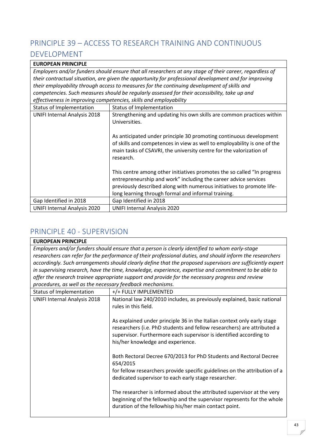# <span id="page-43-0"></span>PRINCIPLE 39 – ACCESS TO RESEARCH TRAINING AND CONTINUOUS DEVELOPMENT

#### **EUROPEAN PRINCIPLE**

*Employers and/or funders should ensure that all researchers at any stage of their career, regardless of their contractual situation, are given the opportunity for professional development and for improving their employability through access to measures for the continuing development of skills and competencies. Such measures should be regularly assessed for their accessibility, take up and effectiveness in improving competencies, skills and employability*

| Status of Implementation     | Status of Implementation                                                                                                                                                                                                                                                                                        |
|------------------------------|-----------------------------------------------------------------------------------------------------------------------------------------------------------------------------------------------------------------------------------------------------------------------------------------------------------------|
| UNIFI Internal Analysis 2018 | Strengthening and updating his own skills are common practices within<br>Universities.<br>As anticipated under principle 30 promoting continuous development<br>of skills and competences in view as well to employability is one of the<br>main tasks of CSAVRI, the university centre for the valorization of |
|                              | research.<br>This centre among other initiatives promotes the so called "In progress"<br>entrepreneurship and work" including the career advice services<br>previously described along with numerous initiatives to promote life-<br>long learning through formal and informal training.                        |
| Gap Identified in 2018       | Gap Identified in 2018                                                                                                                                                                                                                                                                                          |
| UNIFI Internal Analysis 2020 | <b>UNIFI Internal Analysis 2020</b>                                                                                                                                                                                                                                                                             |

### <span id="page-43-1"></span>PRINCIPLE 40 - SUPERVISION

| <b>EUROPEAN PRINCIPLE</b>                                                                                 |                                                                                                                                                                                                                                                               |  |
|-----------------------------------------------------------------------------------------------------------|---------------------------------------------------------------------------------------------------------------------------------------------------------------------------------------------------------------------------------------------------------------|--|
|                                                                                                           | Employers and/or funders should ensure that a person is clearly identified to whom early-stage                                                                                                                                                                |  |
| researchers can refer for the performance of their professional duties, and should inform the researchers |                                                                                                                                                                                                                                                               |  |
|                                                                                                           | accordingly. Such arrangements should clearly define that the proposed supervisors are sufficiently expert                                                                                                                                                    |  |
|                                                                                                           | in supervising research, have the time, knowledge, experience, expertise and commitment to be able to                                                                                                                                                         |  |
| offer the research trainee appropriate support and provide for the necessary progress and review          |                                                                                                                                                                                                                                                               |  |
| procedures, as well as the necessary feedback mechanisms.                                                 |                                                                                                                                                                                                                                                               |  |
| Status of Implementation                                                                                  | +/+ FULLY IMPLEMENTED                                                                                                                                                                                                                                         |  |
| <b>UNIFI Internal Analysis 2018</b>                                                                       | National law 240/2010 includes, as previously explained, basic national<br>rules in this field.                                                                                                                                                               |  |
|                                                                                                           | As explained under principle 36 in the Italian context only early stage<br>researchers (i.e. PhD students and fellow researchers) are attributed a<br>supervisor. Furthermore each supervisor is identified according to<br>his/her knowledge and experience. |  |
|                                                                                                           | Both Rectoral Decree 670/2013 for PhD Students and Rectoral Decree<br>654/2015                                                                                                                                                                                |  |
|                                                                                                           | for fellow researchers provide specific guidelines on the attribution of a<br>dedicated supervisor to each early stage researcher.                                                                                                                            |  |
|                                                                                                           | The researcher is informed about the attributed supervisor at the very<br>beginning of the fellowship and the supervisor represents for the whole<br>duration of the fellowhisp his/her main contact point.                                                   |  |